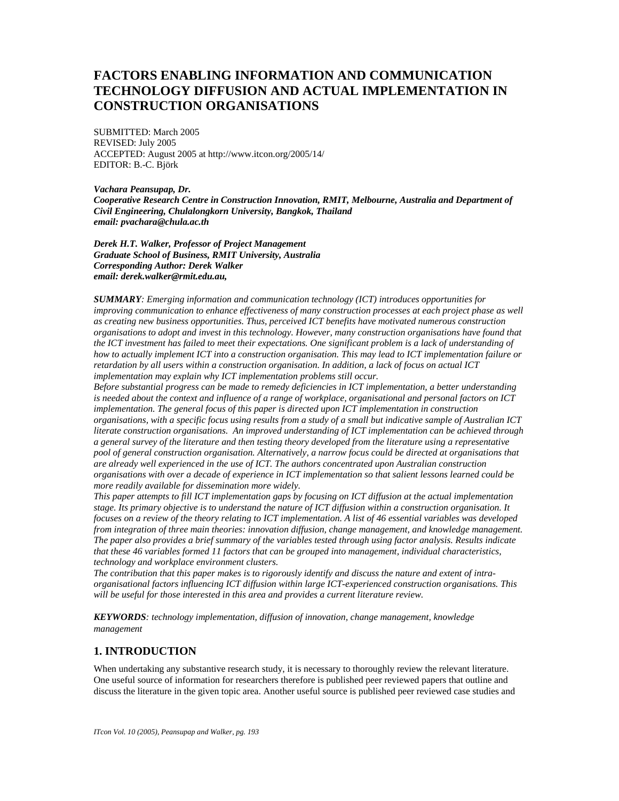# **FACTORS ENABLING INFORMATION AND COMMUNICATION TECHNOLOGY DIFFUSION AND ACTUAL IMPLEMENTATION IN CONSTRUCTION ORGANISATIONS**

SUBMITTED: March 2005 REVISED: July 2005 ACCEPTED: August 2005 at http://www.itcon.org/2005/14/ EDITOR: B.-C. Björk

*Vachara Peansupap, Dr. Cooperative Research Centre in Construction Innovation, RMIT, Melbourne, Australia and Department of Civil Engineering, Chulalongkorn University, Bangkok, Thailand email: pvachara@chula.ac.th* 

*Derek H.T. Walker, Professor of Project Management Graduate School of Business, RMIT University, Australia Corresponding Author: Derek Walker email: derek.walker@rmit.edu.au,* 

*SUMMARY: Emerging information and communication technology (ICT) introduces opportunities for improving communication to enhance effectiveness of many construction processes at each project phase as well as creating new business opportunities. Thus, perceived ICT benefits have motivated numerous construction organisations to adopt and invest in this technology. However, many construction organisations have found that the ICT investment has failed to meet their expectations. One significant problem is a lack of understanding of how to actually implement ICT into a construction organisation. This may lead to ICT implementation failure or retardation by all users within a construction organisation. In addition, a lack of focus on actual ICT implementation may explain why ICT implementation problems still occur.* 

*Before substantial progress can be made to remedy deficiencies in ICT implementation, a better understanding is needed about the context and influence of a range of workplace, organisational and personal factors on ICT implementation. The general focus of this paper is directed upon ICT implementation in construction organisations, with a specific focus using results from a study of a small but indicative sample of Australian ICT literate construction organisations. An improved understanding of ICT implementation can be achieved through a general survey of the literature and then testing theory developed from the literature using a representative pool of general construction organisation. Alternatively, a narrow focus could be directed at organisations that are already well experienced in the use of ICT. The authors concentrated upon Australian construction organisations with over a decade of experience in ICT implementation so that salient lessons learned could be more readily available for dissemination more widely.* 

*This paper attempts to fill ICT implementation gaps by focusing on ICT diffusion at the actual implementation stage. Its primary objective is to understand the nature of ICT diffusion within a construction organisation. It focuses on a review of the theory relating to ICT implementation. A list of 46 essential variables was developed from integration of three main theories: innovation diffusion, change management, and knowledge management. The paper also provides a brief summary of the variables tested through using factor analysis. Results indicate that these 46 variables formed 11 factors that can be grouped into management, individual characteristics, technology and workplace environment clusters.* 

*The contribution that this paper makes is to rigorously identify and discuss the nature and extent of intraorganisational factors influencing ICT diffusion within large ICT-experienced construction organisations. This will be useful for those interested in this area and provides a current literature review.* 

*KEYWORDS: technology implementation, diffusion of innovation, change management, knowledge management*

### **1. INTRODUCTION**

When undertaking any substantive research study, it is necessary to thoroughly review the relevant literature. One useful source of information for researchers therefore is published peer reviewed papers that outline and discuss the literature in the given topic area. Another useful source is published peer reviewed case studies and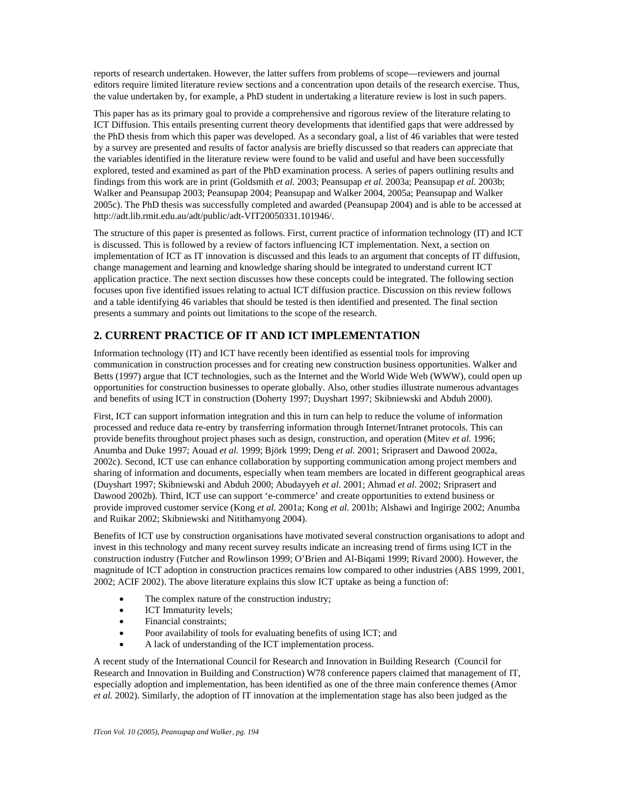reports of research undertaken. However, the latter suffers from problems of scope—reviewers and journal editors require limited literature review sections and a concentration upon details of the research exercise. Thus, the value undertaken by, for example, a PhD student in undertaking a literature review is lost in such papers.

This paper has as its primary goal to provide a comprehensive and rigorous review of the literature relating to ICT Diffusion. This entails presenting current theory developments that identified gaps that were addressed by the PhD thesis from which this paper was developed. As a secondary goal, a list of 46 variables that were tested by a survey are presented and results of factor analysis are briefly discussed so that readers can appreciate that the variables identified in the literature review were found to be valid and useful and have been successfully explored, tested and examined as part of the PhD examination process. A series of papers outlining results and findings from this work are in print (Goldsmith *et al.* 2003; Peansupap *et al.* 2003a; Peansupap *et al.* 2003b; Walker and Peansupap 2003; Peansupap 2004; Peansupap and Walker 2004, 2005a; Peansupap and Walker 2005c). The PhD thesis was successfully completed and awarded (Peansupap 2004) and is able to be accessed at http://adt.lib.rmit.edu.au/adt/public/adt-VIT20050331.101946/.

The structure of this paper is presented as follows. First, current practice of information technology (IT) and ICT is discussed. This is followed by a review of factors influencing ICT implementation. Next, a section on implementation of ICT as IT innovation is discussed and this leads to an argument that concepts of IT diffusion, change management and learning and knowledge sharing should be integrated to understand current ICT application practice. The next section discusses how these concepts could be integrated. The following section focuses upon five identified issues relating to actual ICT diffusion practice. Discussion on this review follows and a table identifying 46 variables that should be tested is then identified and presented. The final section presents a summary and points out limitations to the scope of the research.

# **2. CURRENT PRACTICE OF IT AND ICT IMPLEMENTATION**

Information technology (IT) and ICT have recently been identified as essential tools for improving communication in construction processes and for creating new construction business opportunities. Walker and Betts (1997) argue that ICT technologies, such as the Internet and the World Wide Web (WWW), could open up opportunities for construction businesses to operate globally. Also, other studies illustrate numerous advantages and benefits of using ICT in construction (Doherty 1997; Duyshart 1997; Skibniewski and Abduh 2000).

First, ICT can support information integration and this in turn can help to reduce the volume of information processed and reduce data re-entry by transferring information through Internet/Intranet protocols. This can provide benefits throughout project phases such as design, construction, and operation (Mitev *et al.* 1996; Anumba and Duke 1997; Aouad *et al.* 1999; Björk 1999; Deng *et al.* 2001; Sriprasert and Dawood 2002a, 2002c). Second, ICT use can enhance collaboration by supporting communication among project members and sharing of information and documents, especially when team members are located in different geographical areas (Duyshart 1997; Skibniewski and Abduh 2000; Abudayyeh *et al.* 2001; Ahmad *et al.* 2002; Sriprasert and Dawood 2002b). Third, ICT use can support 'e-commerce' and create opportunities to extend business or provide improved customer service (Kong *et al.* 2001a; Kong *et al.* 2001b; Alshawi and Ingirige 2002; Anumba and Ruikar 2002; Skibniewski and Nitithamyong 2004).

Benefits of ICT use by construction organisations have motivated several construction organisations to adopt and invest in this technology and many recent survey results indicate an increasing trend of firms using ICT in the construction industry (Futcher and Rowlinson 1999; O'Brien and Al-Biqami 1999; Rivard 2000). However, the magnitude of ICT adoption in construction practices remains low compared to other industries (ABS 1999, 2001, 2002; ACIF 2002). The above literature explains this slow ICT uptake as being a function of:

- The complex nature of the construction industry;
- ICT Immaturity levels;
- Financial constraints;
- Poor availability of tools for evaluating benefits of using ICT; and
- A lack of understanding of the ICT implementation process.

A recent study of the International Council for Research and Innovation in Building Research (Council for Research and Innovation in Building and Construction) W78 conference papers claimed that management of IT, especially adoption and implementation, has been identified as one of the three main conference themes (Amor *et al.* 2002). Similarly, the adoption of IT innovation at the implementation stage has also been judged as the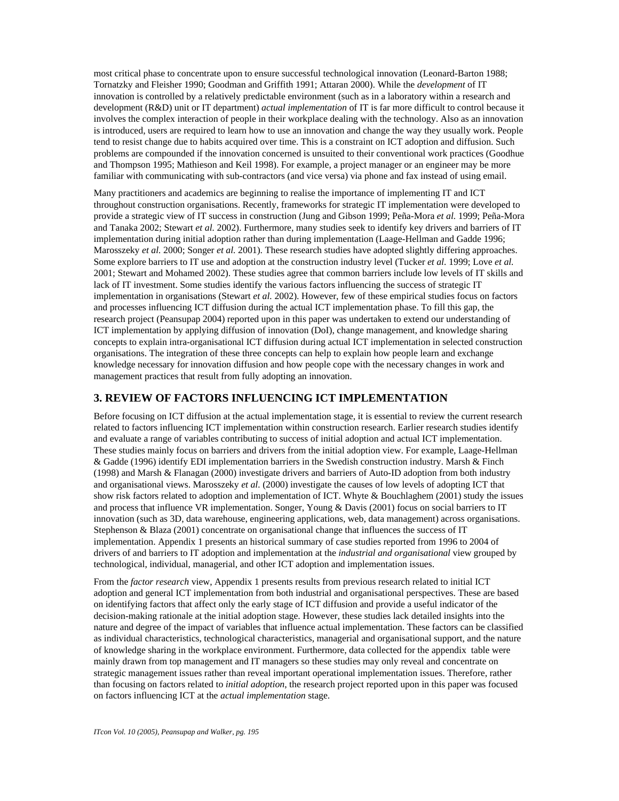most critical phase to concentrate upon to ensure successful technological innovation (Leonard-Barton 1988; Tornatzky and Fleisher 1990; Goodman and Griffith 1991; Attaran 2000). While the *development* of IT innovation is controlled by a relatively predictable environment (such as in a laboratory within a research and development (R&D) unit or IT department) *actual implementation* of IT is far more difficult to control because it involves the complex interaction of people in their workplace dealing with the technology. Also as an innovation is introduced, users are required to learn how to use an innovation and change the way they usually work. People tend to resist change due to habits acquired over time. This is a constraint on ICT adoption and diffusion. Such problems are compounded if the innovation concerned is unsuited to their conventional work practices (Goodhue and Thompson 1995; Mathieson and Keil 1998). For example, a project manager or an engineer may be more familiar with communicating with sub-contractors (and vice versa) via phone and fax instead of using email.

Many practitioners and academics are beginning to realise the importance of implementing IT and ICT throughout construction organisations. Recently, frameworks for strategic IT implementation were developed to provide a strategic view of IT success in construction (Jung and Gibson 1999; Peña-Mora *et al.* 1999; Peña-Mora and Tanaka 2002; Stewart *et al.* 2002). Furthermore, many studies seek to identify key drivers and barriers of IT implementation during initial adoption rather than during implementation (Laage-Hellman and Gadde 1996; Marosszeky *et al.* 2000; Songer *et al.* 2001). These research studies have adopted slightly differing approaches. Some explore barriers to IT use and adoption at the construction industry level (Tucker *et al.* 1999; Love *et al.* 2001; Stewart and Mohamed 2002). These studies agree that common barriers include low levels of IT skills and lack of IT investment. Some studies identify the various factors influencing the success of strategic IT implementation in organisations (Stewart *et al.* 2002). However, few of these empirical studies focus on factors and processes influencing ICT diffusion during the actual ICT implementation phase. To fill this gap, the research project (Peansupap 2004) reported upon in this paper was undertaken to extend our understanding of ICT implementation by applying diffusion of innovation (DoI), change management, and knowledge sharing concepts to explain intra-organisational ICT diffusion during actual ICT implementation in selected construction organisations. The integration of these three concepts can help to explain how people learn and exchange knowledge necessary for innovation diffusion and how people cope with the necessary changes in work and management practices that result from fully adopting an innovation.

### **3. REVIEW OF FACTORS INFLUENCING ICT IMPLEMENTATION**

Before focusing on ICT diffusion at the actual implementation stage, it is essential to review the current research related to factors influencing ICT implementation within construction research. Earlier research studies identify and evaluate a range of variables contributing to success of initial adoption and actual ICT implementation. These studies mainly focus on barriers and drivers from the initial adoption view. For example, Laage-Hellman & Gadde (1996) identify EDI implementation barriers in the Swedish construction industry. Marsh & Finch (1998) and Marsh & Flanagan (2000) investigate drivers and barriers of Auto-ID adoption from both industry and organisational views. Marosszeky *et al.* (2000) investigate the causes of low levels of adopting ICT that show risk factors related to adoption and implementation of ICT. Whyte & Bouchlaghem (2001) study the issues and process that influence VR implementation. Songer, Young & Davis (2001) focus on social barriers to IT innovation (such as 3D, data warehouse, engineering applications, web, data management) across organisations. Stephenson & Blaza (2001) concentrate on organisational change that influences the success of IT implementation. Appendix 1 presents an historical summary of case studies reported from 1996 to 2004 of drivers of and barriers to IT adoption and implementation at the *industrial and organisational* view grouped by technological, individual, managerial, and other ICT adoption and implementation issues.

From the *factor research* view, Appendix 1 presents results from previous research related to initial ICT adoption and general ICT implementation from both industrial and organisational perspectives. These are based on identifying factors that affect only the early stage of ICT diffusion and provide a useful indicator of the decision-making rationale at the initial adoption stage. However, these studies lack detailed insights into the nature and degree of the impact of variables that influence actual implementation. These factors can be classified as individual characteristics, technological characteristics, managerial and organisational support, and the nature of knowledge sharing in the workplace environment. Furthermore, data collected for the appendix table were mainly drawn from top management and IT managers so these studies may only reveal and concentrate on strategic management issues rather than reveal important operational implementation issues. Therefore, rather than focusing on factors related to *initial adoption*, the research project reported upon in this paper was focused on factors influencing ICT at the *actual implementation* stage.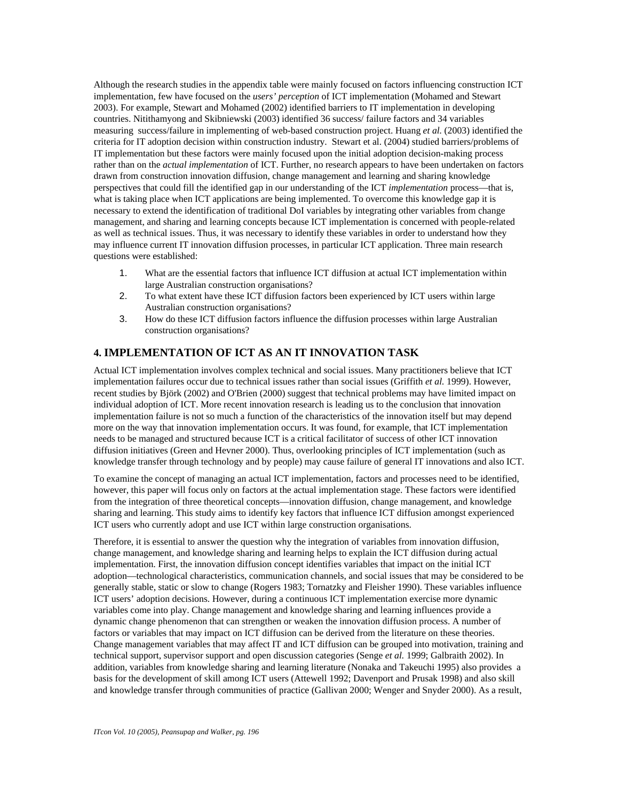Although the research studies in the appendix table were mainly focused on factors influencing construction ICT implementation, few have focused on the *users' perception* of ICT implementation (Mohamed and Stewart 2003). For example, Stewart and Mohamed (2002) identified barriers to IT implementation in developing countries. Nitithamyong and Skibniewski (2003) identified 36 success/ failure factors and 34 variables measuring success/failure in implementing of web-based construction project. Huang *et al.* (2003) identified the criteria for IT adoption decision within construction industry. Stewart et al. (2004) studied barriers/problems of IT implementation but these factors were mainly focused upon the initial adoption decision-making process rather than on the *actual implementation* of ICT. Further, no research appears to have been undertaken on factors drawn from construction innovation diffusion, change management and learning and sharing knowledge perspectives that could fill the identified gap in our understanding of the ICT *implementation* process—that is, what is taking place when ICT applications are being implemented. To overcome this knowledge gap it is necessary to extend the identification of traditional DoI variables by integrating other variables from change management, and sharing and learning concepts because ICT implementation is concerned with people-related as well as technical issues. Thus, it was necessary to identify these variables in order to understand how they may influence current IT innovation diffusion processes, in particular ICT application. Three main research questions were established:

- 1. What are the essential factors that influence ICT diffusion at actual ICT implementation within large Australian construction organisations?
- 2. To what extent have these ICT diffusion factors been experienced by ICT users within large Australian construction organisations?
- 3. How do these ICT diffusion factors influence the diffusion processes within large Australian construction organisations?

### **4. IMPLEMENTATION OF ICT AS AN IT INNOVATION TASK**

Actual ICT implementation involves complex technical and social issues. Many practitioners believe that ICT implementation failures occur due to technical issues rather than social issues (Griffith *et al.* 1999). However, recent studies by Björk (2002) and O'Brien (2000) suggest that technical problems may have limited impact on individual adoption of ICT. More recent innovation research is leading us to the conclusion that innovation implementation failure is not so much a function of the characteristics of the innovation itself but may depend more on the way that innovation implementation occurs. It was found, for example, that ICT implementation needs to be managed and structured because ICT is a critical facilitator of success of other ICT innovation diffusion initiatives (Green and Hevner 2000). Thus, overlooking principles of ICT implementation (such as knowledge transfer through technology and by people) may cause failure of general IT innovations and also ICT.

To examine the concept of managing an actual ICT implementation, factors and processes need to be identified, however, this paper will focus only on factors at the actual implementation stage. These factors were identified from the integration of three theoretical concepts—innovation diffusion, change management, and knowledge sharing and learning. This study aims to identify key factors that influence ICT diffusion amongst experienced ICT users who currently adopt and use ICT within large construction organisations.

Therefore, it is essential to answer the question why the integration of variables from innovation diffusion, change management, and knowledge sharing and learning helps to explain the ICT diffusion during actual implementation. First, the innovation diffusion concept identifies variables that impact on the initial ICT adoption—technological characteristics, communication channels, and social issues that may be considered to be generally stable, static or slow to change (Rogers 1983; Tornatzky and Fleisher 1990). These variables influence ICT users' adoption decisions. However, during a continuous ICT implementation exercise more dynamic variables come into play. Change management and knowledge sharing and learning influences provide a dynamic change phenomenon that can strengthen or weaken the innovation diffusion process. A number of factors or variables that may impact on ICT diffusion can be derived from the literature on these theories. Change management variables that may affect IT and ICT diffusion can be grouped into motivation, training and technical support, supervisor support and open discussion categories (Senge *et al.* 1999; Galbraith 2002). In addition, variables from knowledge sharing and learning literature (Nonaka and Takeuchi 1995) also provides a basis for the development of skill among ICT users (Attewell 1992; Davenport and Prusak 1998) and also skill and knowledge transfer through communities of practice (Gallivan 2000; Wenger and Snyder 2000). As a result,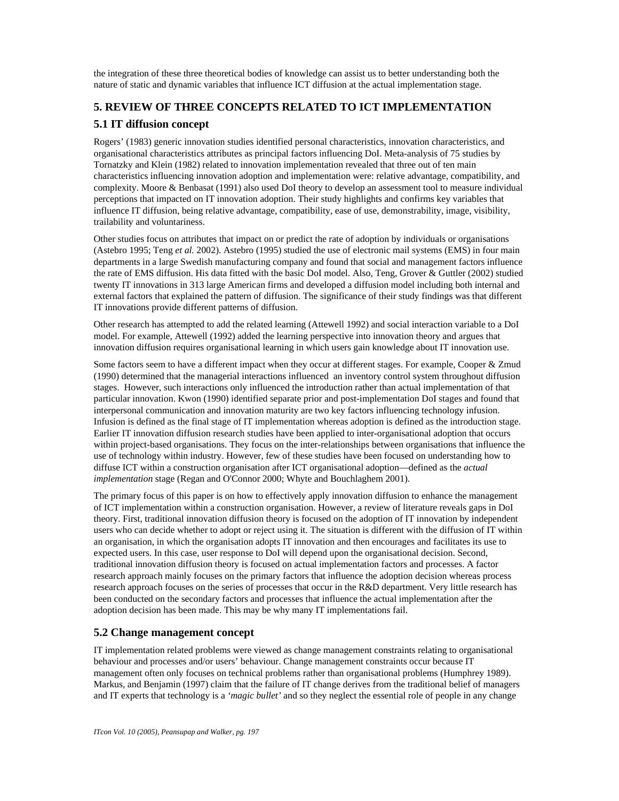the integration of these three theoretical bodies of knowledge can assist us to better understanding both the nature of static and dynamic variables that influence ICT diffusion at the actual implementation stage.

# **5. REVIEW OF THREE CONCEPTS RELATED TO ICT IMPLEMENTATION**

# **5.1 IT diffusion concept**

Rogers' (1983) generic innovation studies identified personal characteristics, innovation characteristics, and organisational characteristics attributes as principal factors influencing DoI. Meta-analysis of 75 studies by Tornatzky and Klein (1982) related to innovation implementation revealed that three out of ten main characteristics influencing innovation adoption and implementation were: relative advantage, compatibility, and complexity. Moore & Benbasat (1991) also used DoI theory to develop an assessment tool to measure individual perceptions that impacted on IT innovation adoption. Their study highlights and confirms key variables that influence IT diffusion, being relative advantage, compatibility, ease of use, demonstrability, image, visibility, trailability and voluntariness.

Other studies focus on attributes that impact on or predict the rate of adoption by individuals or organisations (Astebro 1995; Teng *et al.* 2002). Astebro (1995) studied the use of electronic mail systems (EMS) in four main departments in a large Swedish manufacturing company and found that social and management factors influence the rate of EMS diffusion. His data fitted with the basic DoI model. Also, Teng, Grover & Guttler (2002) studied twenty IT innovations in 313 large American firms and developed a diffusion model including both internal and external factors that explained the pattern of diffusion. The significance of their study findings was that different IT innovations provide different patterns of diffusion.

Other research has attempted to add the related learning (Attewell 1992) and social interaction variable to a DoI model. For example, Attewell (1992) added the learning perspective into innovation theory and argues that innovation diffusion requires organisational learning in which users gain knowledge about IT innovation use.

Some factors seem to have a different impact when they occur at different stages. For example, Cooper & Zmud (1990) determined that the managerial interactions influenced an inventory control system throughout diffusion stages. However, such interactions only influenced the introduction rather than actual implementation of that particular innovation. Kwon (1990) identified separate prior and post-implementation DoI stages and found that interpersonal communication and innovation maturity are two key factors influencing technology infusion. Infusion is defined as the final stage of IT implementation whereas adoption is defined as the introduction stage. Earlier IT innovation diffusion research studies have been applied to inter-organisational adoption that occurs within project-based organisations. They focus on the inter-relationships between organisations that influence the use of technology within industry. However, few of these studies have been focused on understanding how to diffuse ICT within a construction organisation after ICT organisational adoption—defined as the *actual implementation* stage (Regan and O'Connor 2000; Whyte and Bouchlaghem 2001).

The primary focus of this paper is on how to effectively apply innovation diffusion to enhance the management of ICT implementation within a construction organisation. However, a review of literature reveals gaps in DoI theory. First, traditional innovation diffusion theory is focused on the adoption of IT innovation by independent users who can decide whether to adopt or reject using it. The situation is different with the diffusion of IT within an organisation, in which the organisation adopts IT innovation and then encourages and facilitates its use to expected users. In this case, user response to DoI will depend upon the organisational decision. Second, traditional innovation diffusion theory is focused on actual implementation factors and processes. A factor research approach mainly focuses on the primary factors that influence the adoption decision whereas process research approach focuses on the series of processes that occur in the R&D department. Very little research has been conducted on the secondary factors and processes that influence the actual implementation after the adoption decision has been made. This may be why many IT implementations fail.

# **5.2 Change management concept**

IT implementation related problems were viewed as change management constraints relating to organisational behaviour and processes and/or users' behaviour. Change management constraints occur because IT management often only focuses on technical problems rather than organisational problems (Humphrey 1989). Markus, and Benjamin (1997) claim that the failure of IT change derives from the traditional belief of managers and IT experts that technology is a *'magic bullet'* and so they neglect the essential role of people in any change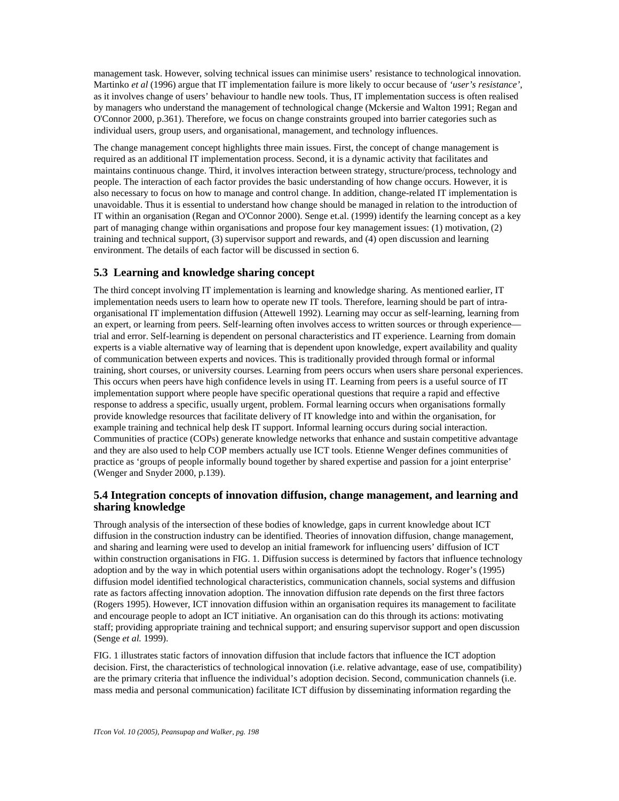management task. However, solving technical issues can minimise users' resistance to technological innovation. Martinko *et al* (1996) argue that IT implementation failure is more likely to occur because of *'user's resistance'*, as it involves change of users' behaviour to handle new tools. Thus, IT implementation success is often realised by managers who understand the management of technological change (Mckersie and Walton 1991; Regan and O'Connor 2000, p.361). Therefore, we focus on change constraints grouped into barrier categories such as individual users, group users, and organisational, management, and technology influences.

The change management concept highlights three main issues. First, the concept of change management is required as an additional IT implementation process. Second, it is a dynamic activity that facilitates and maintains continuous change. Third, it involves interaction between strategy, structure/process, technology and people. The interaction of each factor provides the basic understanding of how change occurs. However, it is also necessary to focus on how to manage and control change. In addition, change-related IT implementation is unavoidable. Thus it is essential to understand how change should be managed in relation to the introduction of IT within an organisation (Regan and O'Connor 2000). Senge et.al. (1999) identify the learning concept as a key part of managing change within organisations and propose four key management issues: (1) motivation, (2) training and technical support, (3) supervisor support and rewards, and (4) open discussion and learning environment. The details of each factor will be discussed in section 6.

### **5.3 Learning and knowledge sharing concept**

The third concept involving IT implementation is learning and knowledge sharing. As mentioned earlier, IT implementation needs users to learn how to operate new IT tools. Therefore, learning should be part of intraorganisational IT implementation diffusion (Attewell 1992). Learning may occur as self-learning, learning from an expert, or learning from peers. Self-learning often involves access to written sources or through experience trial and error. Self-learning is dependent on personal characteristics and IT experience. Learning from domain experts is a viable alternative way of learning that is dependent upon knowledge, expert availability and quality of communication between experts and novices. This is traditionally provided through formal or informal training, short courses, or university courses. Learning from peers occurs when users share personal experiences. This occurs when peers have high confidence levels in using IT. Learning from peers is a useful source of IT implementation support where people have specific operational questions that require a rapid and effective response to address a specific, usually urgent, problem. Formal learning occurs when organisations formally provide knowledge resources that facilitate delivery of IT knowledge into and within the organisation, for example training and technical help desk IT support. Informal learning occurs during social interaction. Communities of practice (COPs) generate knowledge networks that enhance and sustain competitive advantage and they are also used to help COP members actually use ICT tools. Etienne Wenger defines communities of practice as 'groups of people informally bound together by shared expertise and passion for a joint enterprise' (Wenger and Snyder 2000, p.139).

#### **5.4 Integration concepts of innovation diffusion, change management, and learning and sharing knowledge**

Through analysis of the intersection of these bodies of knowledge, gaps in current knowledge about ICT diffusion in the construction industry can be identified. Theories of innovation diffusion, change management, and sharing and learning were used to develop an initial framework for influencing users' diffusion of ICT within construction organisations in FIG. 1. Diffusion success is determined by factors that influence technology adoption and by the way in which potential users within organisations adopt the technology. Roger's (1995) diffusion model identified technological characteristics, communication channels, social systems and diffusion rate as factors affecting innovation adoption. The innovation diffusion rate depends on the first three factors (Rogers 1995). However, ICT innovation diffusion within an organisation requires its management to facilitate and encourage people to adopt an ICT initiative. An organisation can do this through its actions: motivating staff; providing appropriate training and technical support; and ensuring supervisor support and open discussion (Senge *et al.* 1999).

FIG. 1 illustrates static factors of innovation diffusion that include factors that influence the ICT adoption decision. First, the characteristics of technological innovation (i.e. relative advantage, ease of use, compatibility) are the primary criteria that influence the individual's adoption decision. Second, communication channels (i.e. mass media and personal communication) facilitate ICT diffusion by disseminating information regarding the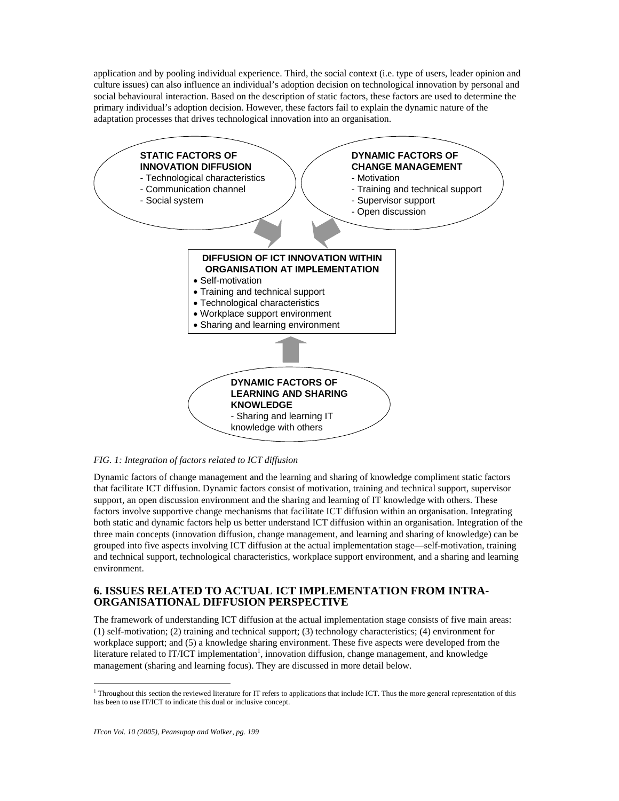application and by pooling individual experience. Third, the social context (i.e. type of users, leader opinion and culture issues) can also influence an individual's adoption decision on technological innovation by personal and social behavioural interaction. Based on the description of static factors, these factors are used to determine the primary individual's adoption decision. However, these factors fail to explain the dynamic nature of the adaptation processes that drives technological innovation into an organisation.



#### *FIG. 1: Integration of factors related to ICT diffusion*

Dynamic factors of change management and the learning and sharing of knowledge compliment static factors that facilitate ICT diffusion. Dynamic factors consist of motivation, training and technical support, supervisor support, an open discussion environment and the sharing and learning of IT knowledge with others. These factors involve supportive change mechanisms that facilitate ICT diffusion within an organisation. Integrating both static and dynamic factors help us better understand ICT diffusion within an organisation. Integration of the three main concepts (innovation diffusion, change management, and learning and sharing of knowledge) can be grouped into five aspects involving ICT diffusion at the actual implementation stage—self-motivation, training and technical support, technological characteristics, workplace support environment, and a sharing and learning environment.

### **6. ISSUES RELATED TO ACTUAL ICT IMPLEMENTATION FROM INTRA-ORGANISATIONAL DIFFUSION PERSPECTIVE**

The framework of understanding ICT diffusion at the actual implementation stage consists of five main areas: (1) self-motivation; (2) training and technical support; (3) technology characteristics; (4) environment for workplace support; and (5) a knowledge sharing environment. These five aspects were developed from the literature related to IT/ICT implementation<sup>1</sup>, innovation diffusion, change management, and knowledge management (sharing and learning focus). They are discussed in more detail below.

 $\overline{a}$ 

<sup>&</sup>lt;sup>1</sup> Throughout this section the reviewed literature for IT refers to applications that include ICT. Thus the more general representation of this has been to use IT/ICT to indicate this dual or inclusive concept.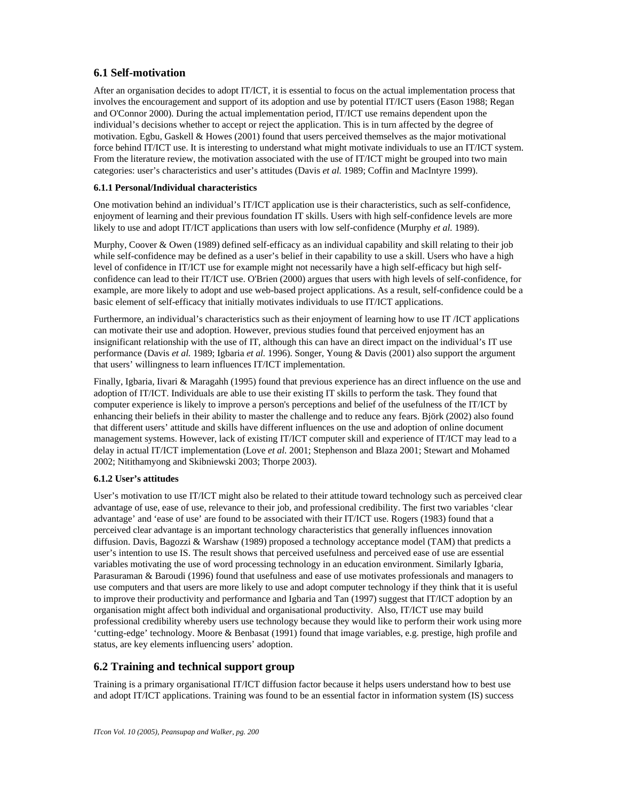# **6.1 Self-motivation**

After an organisation decides to adopt IT/ICT, it is essential to focus on the actual implementation process that involves the encouragement and support of its adoption and use by potential IT/ICT users (Eason 1988; Regan and O'Connor 2000). During the actual implementation period, IT/ICT use remains dependent upon the individual's decisions whether to accept or reject the application. This is in turn affected by the degree of motivation. Egbu, Gaskell & Howes (2001) found that users perceived themselves as the major motivational force behind IT/ICT use. It is interesting to understand what might motivate individuals to use an IT/ICT system. From the literature review, the motivation associated with the use of IT/ICT might be grouped into two main categories: user's characteristics and user's attitudes (Davis *et al.* 1989; Coffin and MacIntyre 1999).

#### **6.1.1 Personal/Individual characteristics**

One motivation behind an individual's IT/ICT application use is their characteristics, such as self-confidence, enjoyment of learning and their previous foundation IT skills. Users with high self-confidence levels are more likely to use and adopt IT/ICT applications than users with low self-confidence (Murphy *et al.* 1989).

Murphy, Coover & Owen (1989) defined self-efficacy as an individual capability and skill relating to their job while self-confidence may be defined as a user's belief in their capability to use a skill. Users who have a high level of confidence in IT/ICT use for example might not necessarily have a high self-efficacy but high selfconfidence can lead to their IT/ICT use. O'Brien (2000) argues that users with high levels of self-confidence, for example, are more likely to adopt and use web-based project applications. As a result, self-confidence could be a basic element of self-efficacy that initially motivates individuals to use IT/ICT applications.

Furthermore, an individual's characteristics such as their enjoyment of learning how to use IT /ICT applications can motivate their use and adoption. However, previous studies found that perceived enjoyment has an insignificant relationship with the use of IT, although this can have an direct impact on the individual's IT use performance (Davis *et al.* 1989; Igbaria *et al.* 1996). Songer, Young & Davis (2001) also support the argument that users' willingness to learn influences IT/ICT implementation.

Finally, Igbaria, Iivari & Maragahh (1995) found that previous experience has an direct influence on the use and adoption of IT/ICT. Individuals are able to use their existing IT skills to perform the task. They found that computer experience is likely to improve a person's perceptions and belief of the usefulness of the IT/ICT by enhancing their beliefs in their ability to master the challenge and to reduce any fears. Björk (2002) also found that different users' attitude and skills have different influences on the use and adoption of online document management systems. However, lack of existing IT/ICT computer skill and experience of IT/ICT may lead to a delay in actual IT/ICT implementation (Love *et al.* 2001; Stephenson and Blaza 2001; Stewart and Mohamed 2002; Nitithamyong and Skibniewski 2003; Thorpe 2003).

### **6.1.2 User's attitudes**

User's motivation to use IT/ICT might also be related to their attitude toward technology such as perceived clear advantage of use, ease of use, relevance to their job, and professional credibility. The first two variables 'clear advantage' and 'ease of use' are found to be associated with their IT/ICT use. Rogers (1983) found that a perceived clear advantage is an important technology characteristics that generally influences innovation diffusion. Davis, Bagozzi & Warshaw (1989) proposed a technology acceptance model (TAM) that predicts a user's intention to use IS. The result shows that perceived usefulness and perceived ease of use are essential variables motivating the use of word processing technology in an education environment. Similarly Igbaria, Parasuraman & Baroudi (1996) found that usefulness and ease of use motivates professionals and managers to use computers and that users are more likely to use and adopt computer technology if they think that it is useful to improve their productivity and performance and Igbaria and Tan (1997) suggest that IT/ICT adoption by an organisation might affect both individual and organisational productivity. Also, IT/ICT use may build professional credibility whereby users use technology because they would like to perform their work using more 'cutting-edge' technology. Moore & Benbasat (1991) found that image variables, e.g. prestige, high profile and status, are key elements influencing users' adoption.

### **6.2 Training and technical support group**

Training is a primary organisational IT/ICT diffusion factor because it helps users understand how to best use and adopt IT/ICT applications. Training was found to be an essential factor in information system (IS) success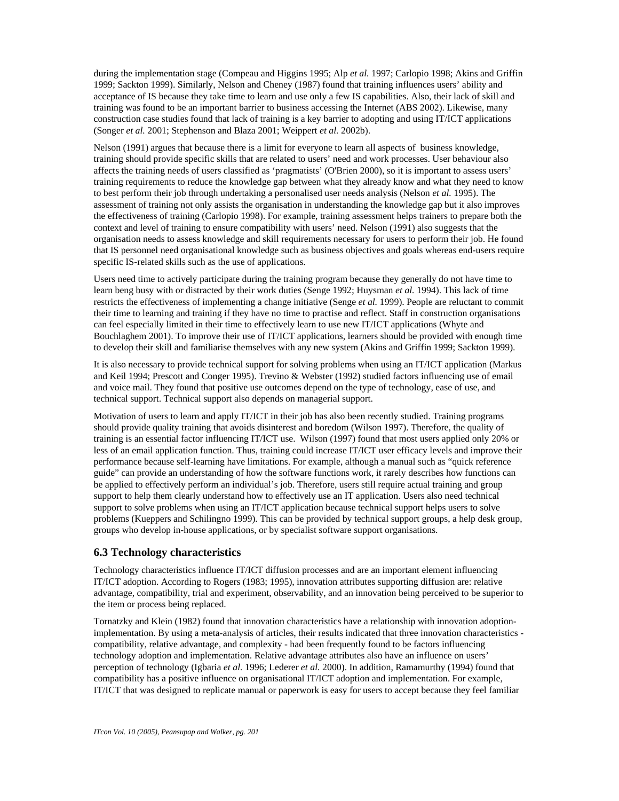during the implementation stage (Compeau and Higgins 1995; Alp *et al.* 1997; Carlopio 1998; Akins and Griffin 1999; Sackton 1999). Similarly, Nelson and Cheney (1987) found that training influences users' ability and acceptance of IS because they take time to learn and use only a few IS capabilities. Also, their lack of skill and training was found to be an important barrier to business accessing the Internet (ABS 2002). Likewise, many construction case studies found that lack of training is a key barrier to adopting and using IT/ICT applications (Songer *et al.* 2001; Stephenson and Blaza 2001; Weippert *et al.* 2002b).

Nelson (1991) argues that because there is a limit for everyone to learn all aspects of business knowledge, training should provide specific skills that are related to users' need and work processes. User behaviour also affects the training needs of users classified as 'pragmatists' (O'Brien 2000), so it is important to assess users' training requirements to reduce the knowledge gap between what they already know and what they need to know to best perform their job through undertaking a personalised user needs analysis (Nelson *et al.* 1995). The assessment of training not only assists the organisation in understanding the knowledge gap but it also improves the effectiveness of training (Carlopio 1998). For example, training assessment helps trainers to prepare both the context and level of training to ensure compatibility with users' need. Nelson (1991) also suggests that the organisation needs to assess knowledge and skill requirements necessary for users to perform their job. He found that IS personnel need organisational knowledge such as business objectives and goals whereas end-users require specific IS-related skills such as the use of applications.

Users need time to actively participate during the training program because they generally do not have time to learn beng busy with or distracted by their work duties (Senge 1992; Huysman *et al.* 1994). This lack of time restricts the effectiveness of implementing a change initiative (Senge *et al.* 1999). People are reluctant to commit their time to learning and training if they have no time to practise and reflect. Staff in construction organisations can feel especially limited in their time to effectively learn to use new IT/ICT applications (Whyte and Bouchlaghem 2001). To improve their use of IT/ICT applications, learners should be provided with enough time to develop their skill and familiarise themselves with any new system (Akins and Griffin 1999; Sackton 1999).

It is also necessary to provide technical support for solving problems when using an IT/ICT application (Markus and Keil 1994; Prescott and Conger 1995). Trevino & Webster (1992) studied factors influencing use of email and voice mail. They found that positive use outcomes depend on the type of technology, ease of use, and technical support. Technical support also depends on managerial support.

Motivation of users to learn and apply IT/ICT in their job has also been recently studied. Training programs should provide quality training that avoids disinterest and boredom (Wilson 1997). Therefore, the quality of training is an essential factor influencing IT/ICT use. Wilson (1997) found that most users applied only 20% or less of an email application function. Thus, training could increase IT/ICT user efficacy levels and improve their performance because self-learning have limitations. For example, although a manual such as "quick reference guide" can provide an understanding of how the software functions work, it rarely describes how functions can be applied to effectively perform an individual's job. Therefore, users still require actual training and group support to help them clearly understand how to effectively use an IT application. Users also need technical support to solve problems when using an IT/ICT application because technical support helps users to solve problems (Kueppers and Schilingno 1999). This can be provided by technical support groups, a help desk group, groups who develop in-house applications, or by specialist software support organisations.

#### **6.3 Technology characteristics**

Technology characteristics influence IT/ICT diffusion processes and are an important element influencing IT/ICT adoption. According to Rogers (1983; 1995), innovation attributes supporting diffusion are: relative advantage, compatibility, trial and experiment, observability, and an innovation being perceived to be superior to the item or process being replaced.

Tornatzky and Klein (1982) found that innovation characteristics have a relationship with innovation adoptionimplementation. By using a meta-analysis of articles, their results indicated that three innovation characteristics compatibility, relative advantage, and complexity - had been frequently found to be factors influencing technology adoption and implementation. Relative advantage attributes also have an influence on users' perception of technology (Igbaria *et al.* 1996; Lederer *et al.* 2000). In addition, Ramamurthy (1994) found that compatibility has a positive influence on organisational IT/ICT adoption and implementation. For example, IT/ICT that was designed to replicate manual or paperwork is easy for users to accept because they feel familiar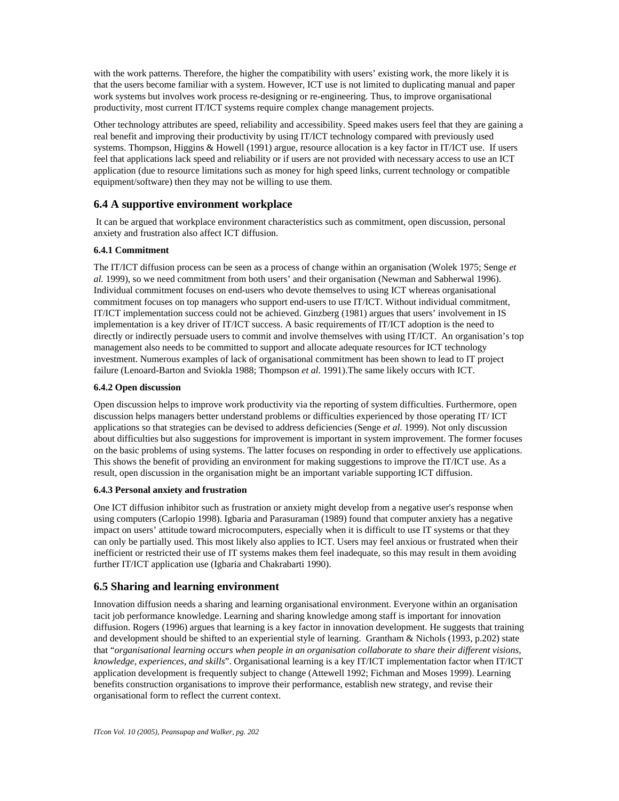with the work patterns. Therefore, the higher the compatibility with users' existing work, the more likely it is that the users become familiar with a system. However, ICT use is not limited to duplicating manual and paper work systems but involves work process re-designing or re-engineering. Thus, to improve organisational productivity, most current IT/ICT systems require complex change management projects.

Other technology attributes are speed, reliability and accessibility. Speed makes users feel that they are gaining a real benefit and improving their productivity by using IT/ICT technology compared with previously used systems. Thompson, Higgins & Howell (1991) argue, resource allocation is a key factor in IT/ICT use. If users feel that applications lack speed and reliability or if users are not provided with necessary access to use an ICT application (due to resource limitations such as money for high speed links, current technology or compatible equipment/software) then they may not be willing to use them.

### **6.4 A supportive environment workplace**

 It can be argued that workplace environment characteristics such as commitment, open discussion, personal anxiety and frustration also affect ICT diffusion.

#### **6.4.1 Commitment**

The IT/ICT diffusion process can be seen as a process of change within an organisation (Wolek 1975; Senge *et al.* 1999), so we need commitment from both users' and their organisation (Newman and Sabherwal 1996). Individual commitment focuses on end-users who devote themselves to using ICT whereas organisational commitment focuses on top managers who support end-users to use IT/ICT. Without individual commitment, IT/ICT implementation success could not be achieved. Ginzberg (1981) argues that users' involvement in IS implementation is a key driver of IT/ICT success. A basic requirements of IT/ICT adoption is the need to directly or indirectly persuade users to commit and involve themselves with using IT/ICT. An organisation's top management also needs to be committed to support and allocate adequate resources for ICT technology investment. Numerous examples of lack of organisational commitment has been shown to lead to IT project failure (Lenoard-Barton and Sviokla 1988; Thompson *et al.* 1991).The same likely occurs with ICT.

#### **6.4.2 Open discussion**

Open discussion helps to improve work productivity via the reporting of system difficulties. Furthermore, open discussion helps managers better understand problems or difficulties experienced by those operating IT/ ICT applications so that strategies can be devised to address deficiencies (Senge *et al.* 1999). Not only discussion about difficulties but also suggestions for improvement is important in system improvement. The former focuses on the basic problems of using systems. The latter focuses on responding in order to effectively use applications. This shows the benefit of providing an environment for making suggestions to improve the IT/ICT use. As a result, open discussion in the organisation might be an important variable supporting ICT diffusion.

#### **6.4.3 Personal anxiety and frustration**

One ICT diffusion inhibitor such as frustration or anxiety might develop from a negative user's response when using computers (Carlopio 1998). Igbaria and Parasuraman (1989) found that computer anxiety has a negative impact on users' attitude toward microcomputers, especially when it is difficult to use IT systems or that they can only be partially used. This most likely also applies to ICT. Users may feel anxious or frustrated when their inefficient or restricted their use of IT systems makes them feel inadequate, so this may result in them avoiding further IT/ICT application use (Igbaria and Chakrabarti 1990).

# **6.5 Sharing and learning environment**

Innovation diffusion needs a sharing and learning organisational environment. Everyone within an organisation tacit job performance knowledge. Learning and sharing knowledge among staff is important for innovation diffusion. Rogers (1996) argues that learning is a key factor in innovation development. He suggests that training and development should be shifted to an experiential style of learning. Grantham & Nichols (1993, p.202) state that "*organisational learning occurs when people in an organisation collaborate to share their different visions, knowledge, experiences, and skills*". Organisational learning is a key IT/ICT implementation factor when IT/ICT application development is frequently subject to change (Attewell 1992; Fichman and Moses 1999). Learning benefits construction organisations to improve their performance, establish new strategy, and revise their organisational form to reflect the current context.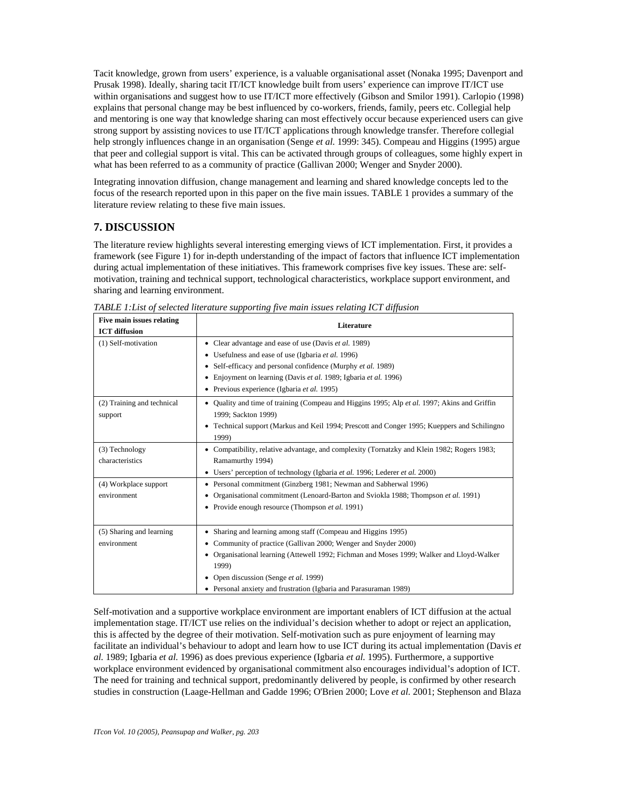Tacit knowledge, grown from users' experience, is a valuable organisational asset (Nonaka 1995; Davenport and Prusak 1998). Ideally, sharing tacit IT/ICT knowledge built from users' experience can improve IT/ICT use within organisations and suggest how to use IT/ICT more effectively (Gibson and Smilor 1991). Carlopio (1998) explains that personal change may be best influenced by co-workers, friends, family, peers etc. Collegial help and mentoring is one way that knowledge sharing can most effectively occur because experienced users can give strong support by assisting novices to use IT/ICT applications through knowledge transfer. Therefore collegial help strongly influences change in an organisation (Senge *et al.* 1999: 345). Compeau and Higgins (1995) argue that peer and collegial support is vital. This can be activated through groups of colleagues, some highly expert in what has been referred to as a community of practice (Gallivan 2000; Wenger and Snyder 2000).

Integrating innovation diffusion, change management and learning and shared knowledge concepts led to the focus of the research reported upon in this paper on the five main issues. TABLE 1 provides a summary of the literature review relating to these five main issues.

# **7. DISCUSSION**

The literature review highlights several interesting emerging views of ICT implementation. First, it provides a framework (see Figure 1) for in-depth understanding of the impact of factors that influence ICT implementation during actual implementation of these initiatives. This framework comprises five key issues. These are: selfmotivation, training and technical support, technological characteristics, workplace support environment, and sharing and learning environment.

| Five main issues relating<br><b>ICT</b> diffusion | Literature                                                                                                                                                                                                                                                                                                                                         |  |
|---------------------------------------------------|----------------------------------------------------------------------------------------------------------------------------------------------------------------------------------------------------------------------------------------------------------------------------------------------------------------------------------------------------|--|
| (1) Self-motivation                               | • Clear advantage and ease of use (Davis et al. 1989)<br>• Usefulness and ease of use (Igbaria et al. 1996)<br>• Self-efficacy and personal confidence (Murphy et al. 1989)<br>• Enjoyment on learning (Davis et al. 1989; Igbaria et al. 1996)<br>• Previous experience (Igbaria et al. 1995)                                                     |  |
| (2) Training and technical<br>support             | • Quality and time of training (Compeau and Higgins 1995; Alp et al. 1997; Akins and Griffin<br>1999; Sackton 1999)<br>• Technical support (Markus and Keil 1994; Prescott and Conger 1995; Kueppers and Schilingno<br>1999)                                                                                                                       |  |
| (3) Technology<br>characteristics                 | • Compatibility, relative advantage, and complexity (Tornatzky and Klein 1982; Rogers 1983;<br>Ramamurthy 1994)<br>• Users' perception of technology (Igbaria et al. 1996; Lederer et al. 2000)                                                                                                                                                    |  |
| (4) Workplace support<br>environment              | • Personal commitment (Ginzberg 1981; Newman and Sabherwal 1996)<br>• Organisational commitment (Lenoard-Barton and Sviokla 1988; Thompson et al. 1991)<br>• Provide enough resource (Thompson et al. 1991)                                                                                                                                        |  |
| (5) Sharing and learning<br>environment           | • Sharing and learning among staff (Compeau and Higgins 1995)<br>Community of practice (Gallivan 2000; Wenger and Snyder 2000)<br>• Organisational learning (Attewell 1992; Fichman and Moses 1999; Walker and Lloyd-Walker<br>1999)<br>• Open discussion (Senge et al. 1999)<br>• Personal anxiety and frustration (Igbaria and Parasuraman 1989) |  |

*TABLE 1:List of selected literature supporting five main issues relating ICT diffusion*

Self-motivation and a supportive workplace environment are important enablers of ICT diffusion at the actual implementation stage. IT/ICT use relies on the individual's decision whether to adopt or reject an application, this is affected by the degree of their motivation. Self-motivation such as pure enjoyment of learning may facilitate an individual's behaviour to adopt and learn how to use ICT during its actual implementation (Davis *et al.* 1989; Igbaria *et al.* 1996) as does previous experience (Igbaria *et al.* 1995). Furthermore, a supportive workplace environment evidenced by organisational commitment also encourages individual's adoption of ICT. The need for training and technical support, predominantly delivered by people, is confirmed by other research studies in construction (Laage-Hellman and Gadde 1996; O'Brien 2000; Love *et al.* 2001; Stephenson and Blaza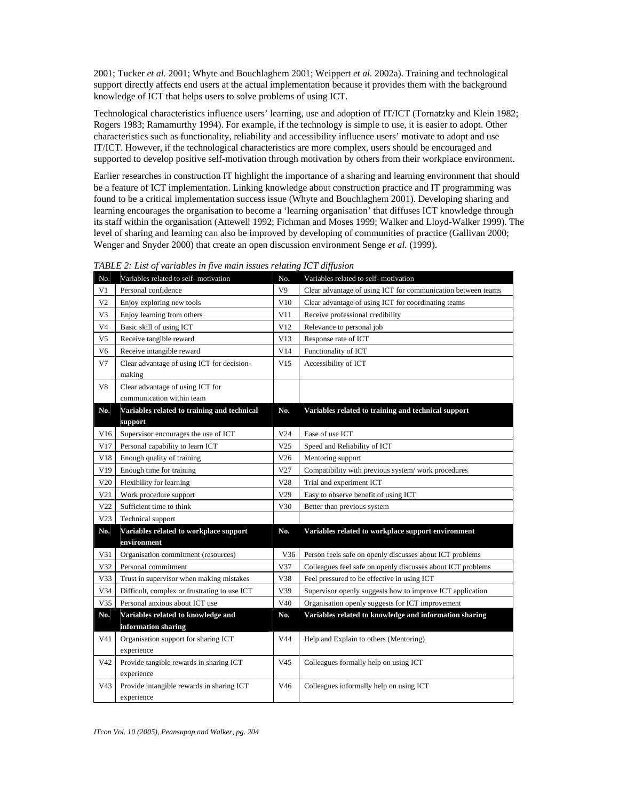2001; Tucker *et al.* 2001; Whyte and Bouchlaghem 2001; Weippert *et al.* 2002a). Training and technological support directly affects end users at the actual implementation because it provides them with the background knowledge of ICT that helps users to solve problems of using ICT.

Technological characteristics influence users' learning, use and adoption of IT/ICT (Tornatzky and Klein 1982; Rogers 1983; Ramamurthy 1994). For example, if the technology is simple to use, it is easier to adopt. Other characteristics such as functionality, reliability and accessibility influence users' motivate to adopt and use IT/ICT. However, if the technological characteristics are more complex, users should be encouraged and supported to develop positive self-motivation through motivation by others from their workplace environment.

Earlier researches in construction IT highlight the importance of a sharing and learning environment that should be a feature of ICT implementation. Linking knowledge about construction practice and IT programming was found to be a critical implementation success issue (Whyte and Bouchlaghem 2001). Developing sharing and learning encourages the organisation to become a 'learning organisation' that diffuses ICT knowledge through its staff within the organisation (Attewell 1992; Fichman and Moses 1999; Walker and Lloyd-Walker 1999). The level of sharing and learning can also be improved by developing of communities of practice (Gallivan 2000; Wenger and Snyder 2000) that create an open discussion environment Senge *et al.* (1999).

| No.             | Variables related to self-motivation                    | No.             | Variables related to self-motivation                         |
|-----------------|---------------------------------------------------------|-----------------|--------------------------------------------------------------|
| V1              | Personal confidence                                     | V9              | Clear advantage of using ICT for communication between teams |
| V <sub>2</sub>  | Enjoy exploring new tools                               | V10             | Clear advantage of using ICT for coordinating teams          |
| V3              | Enjoy learning from others                              | V11             | Receive professional credibility                             |
| V4              | Basic skill of using ICT                                | V12             | Relevance to personal job                                    |
| V <sub>5</sub>  | Receive tangible reward                                 | V13             | Response rate of ICT                                         |
| V <sub>6</sub>  | Receive intangible reward                               | V14             | Functionality of ICT                                         |
| V7              | Clear advantage of using ICT for decision-              | V15             | Accessibility of ICT                                         |
|                 | making                                                  |                 |                                                              |
| V8              | Clear advantage of using ICT for                        |                 |                                                              |
|                 | communication within team                               |                 |                                                              |
| No.             | Variables related to training and technical<br>support  | No.             | Variables related to training and technical support          |
| V16             | Supervisor encourages the use of ICT                    | V24             | Ease of use ICT                                              |
| V17             | Personal capability to learn ICT                        | V <sub>25</sub> | Speed and Reliability of ICT                                 |
| V18             | Enough quality of training                              | V26             | Mentoring support                                            |
| V19             | Enough time for training                                | V27             | Compatibility with previous system/work procedures           |
| V20             | Flexibility for learning                                | V28             | Trial and experiment ICT                                     |
| V21             | Work procedure support                                  | V <sub>29</sub> | Easy to observe benefit of using ICT                         |
| V22             | Sufficient time to think                                | V30             | Better than previous system                                  |
| V <sub>23</sub> | Technical support                                       |                 |                                                              |
| No.             | Variables related to workplace support                  | No.             | Variables related to workplace support environment           |
|                 | environment                                             |                 |                                                              |
| V31             | Organisation commitment (resources)                     | V36             | Person feels safe on openly discusses about ICT problems     |
| V32             | Personal commitment                                     | V37             | Colleagues feel safe on openly discusses about ICT problems  |
| V33             | Trust in supervisor when making mistakes                | V38             | Feel pressured to be effective in using ICT                  |
| V34             | Difficult, complex or frustrating to use ICT            | V39             | Supervisor openly suggests how to improve ICT application    |
| V35             | Personal anxious about ICT use                          | V40             | Organisation openly suggests for ICT improvement             |
| No.             | Variables related to knowledge and                      | No.             | Variables related to knowledge and information sharing       |
|                 | information sharing                                     |                 |                                                              |
| V41             | Organisation support for sharing ICT                    | V44             | Help and Explain to others (Mentoring)                       |
|                 | experience                                              |                 |                                                              |
| V42             | Provide tangible rewards in sharing ICT                 | V45             | Colleagues formally help on using ICT                        |
|                 | experience                                              |                 |                                                              |
| V <sub>43</sub> | Provide intangible rewards in sharing ICT<br>experience | V46             | Colleagues informally help on using ICT                      |

*TABLE 2: List of variables in five main issues relating ICT diffusion*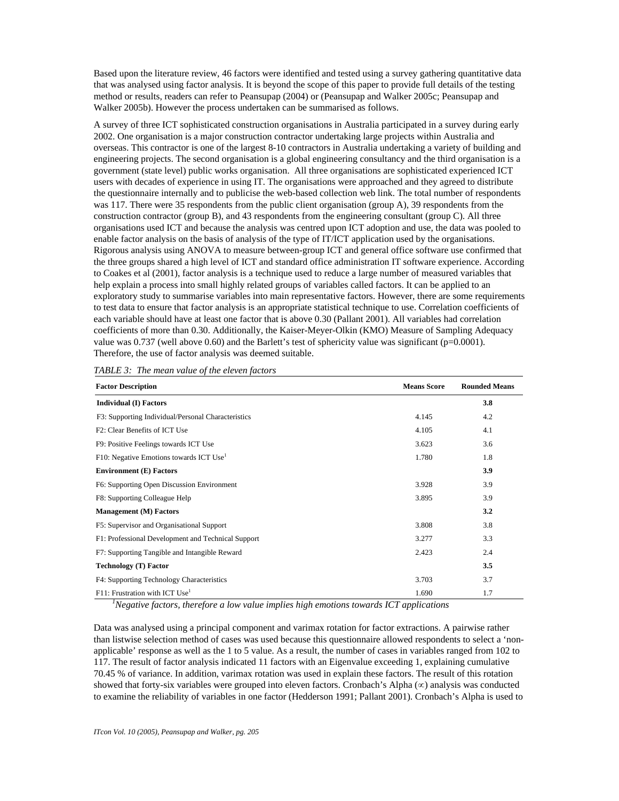Based upon the literature review, 46 factors were identified and tested using a survey gathering quantitative data that was analysed using factor analysis. It is beyond the scope of this paper to provide full details of the testing method or results, readers can refer to Peansupap (2004) or (Peansupap and Walker 2005c; Peansupap and Walker 2005b). However the process undertaken can be summarised as follows.

A survey of three ICT sophisticated construction organisations in Australia participated in a survey during early 2002. One organisation is a major construction contractor undertaking large projects within Australia and overseas. This contractor is one of the largest 8-10 contractors in Australia undertaking a variety of building and engineering projects. The second organisation is a global engineering consultancy and the third organisation is a government (state level) public works organisation. All three organisations are sophisticated experienced ICT users with decades of experience in using IT. The organisations were approached and they agreed to distribute the questionnaire internally and to publicise the web-based collection web link. The total number of respondents was 117. There were 35 respondents from the public client organisation (group A), 39 respondents from the construction contractor (group B), and 43 respondents from the engineering consultant (group C). All three organisations used ICT and because the analysis was centred upon ICT adoption and use, the data was pooled to enable factor analysis on the basis of analysis of the type of IT/ICT application used by the organisations. Rigorous analysis using ANOVA to measure between-group ICT and general office software use confirmed that the three groups shared a high level of ICT and standard office administration IT software experience. According to Coakes et al (2001), factor analysis is a technique used to reduce a large number of measured variables that help explain a process into small highly related groups of variables called factors. It can be applied to an exploratory study to summarise variables into main representative factors. However, there are some requirements to test data to ensure that factor analysis is an appropriate statistical technique to use. Correlation coefficients of each variable should have at least one factor that is above 0.30 (Pallant 2001). All variables had correlation coefficients of more than 0.30. Additionally, the Kaiser-Meyer-Olkin (KMO) Measure of Sampling Adequacy value was  $0.737$  (well above  $0.60$ ) and the Barlett's test of sphericity value was significant (p=0.0001). Therefore, the use of factor analysis was deemed suitable.

| <b>Factor Description</b>                           | <b>Means Score</b> | <b>Rounded Means</b> |
|-----------------------------------------------------|--------------------|----------------------|
| <b>Individual (I) Factors</b>                       |                    | 3.8                  |
| F3: Supporting Individual/Personal Characteristics  | 4.145              | 4.2                  |
| F <sub>2</sub> : Clear Benefits of ICT Use          | 4.105              | 4.1                  |
| F9: Positive Feelings towards ICT Use               | 3.623              | 3.6                  |
| F10: Negative Emotions towards ICT Use <sup>1</sup> | 1.780              | 1.8                  |
| <b>Environment (E) Factors</b>                      |                    | 3.9                  |
| F6: Supporting Open Discussion Environment          | 3.928              | 3.9                  |
| F8: Supporting Colleague Help                       | 3.895              | 3.9                  |
| <b>Management (M) Factors</b>                       |                    | 3.2                  |
| F5: Supervisor and Organisational Support           | 3.808              | 3.8                  |
| F1: Professional Development and Technical Support  | 3.277              | 3.3                  |
| F7: Supporting Tangible and Intangible Reward       | 2.423              | 2.4                  |
| <b>Technology (T) Factor</b>                        |                    | 3.5                  |
| F4: Supporting Technology Characteristics           | 3.703              | 3.7                  |
| $F11$ : Frustration with ICT Use <sup>1</sup>       | 1.690              | 1.7                  |

*TABLE 3: The mean value of the eleven factors*

 *1Negative factors, therefore a low value implies high emotions towards ICT applications*

Data was analysed using a principal component and varimax rotation for factor extractions. A pairwise rather than listwise selection method of cases was used because this questionnaire allowed respondents to select a 'nonapplicable' response as well as the 1 to 5 value. As a result, the number of cases in variables ranged from 102 to 117. The result of factor analysis indicated 11 factors with an Eigenvalue exceeding 1, explaining cumulative 70.45 % of variance. In addition, varimax rotation was used in explain these factors. The result of this rotation showed that forty-six variables were grouped into eleven factors. Cronbach's Alpha (∝) analysis was conducted to examine the reliability of variables in one factor (Hedderson 1991; Pallant 2001). Cronbach's Alpha is used to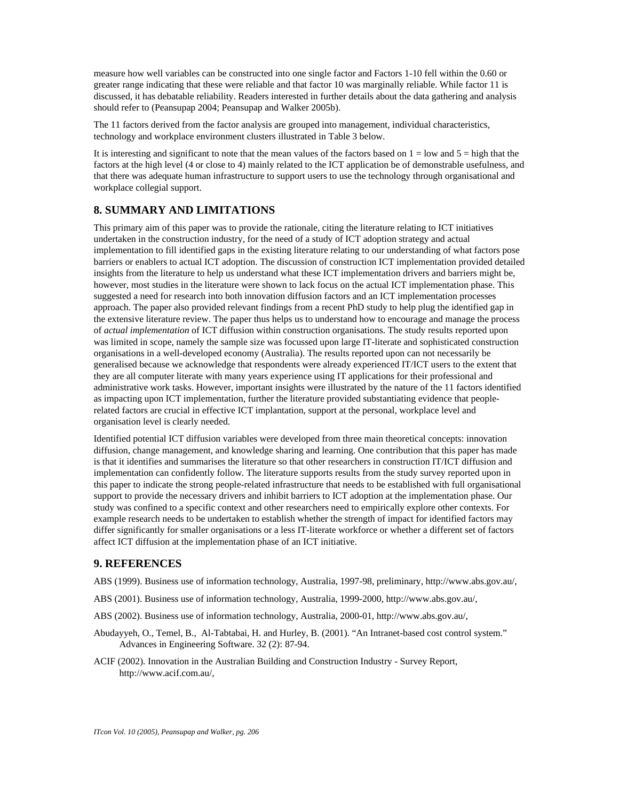measure how well variables can be constructed into one single factor and Factors 1-10 fell within the 0.60 or greater range indicating that these were reliable and that factor 10 was marginally reliable. While factor 11 is discussed, it has debatable reliability. Readers interested in further details about the data gathering and analysis should refer to (Peansupap 2004; Peansupap and Walker 2005b).

The 11 factors derived from the factor analysis are grouped into management, individual characteristics, technology and workplace environment clusters illustrated in Table 3 below.

It is interesting and significant to note that the mean values of the factors based on  $1 =$  low and  $5 =$  high that the factors at the high level (4 or close to 4) mainly related to the ICT application be of demonstrable usefulness, and that there was adequate human infrastructure to support users to use the technology through organisational and workplace collegial support.

### **8. SUMMARY AND LIMITATIONS**

This primary aim of this paper was to provide the rationale, citing the literature relating to ICT initiatives undertaken in the construction industry, for the need of a study of ICT adoption strategy and actual implementation to fill identified gaps in the existing literature relating to our understanding of what factors pose barriers or enablers to actual ICT adoption. The discussion of construction ICT implementation provided detailed insights from the literature to help us understand what these ICT implementation drivers and barriers might be, however, most studies in the literature were shown to lack focus on the actual ICT implementation phase. This suggested a need for research into both innovation diffusion factors and an ICT implementation processes approach. The paper also provided relevant findings from a recent PhD study to help plug the identified gap in the extensive literature review. The paper thus helps us to understand how to encourage and manage the process of *actual implementation* of ICT diffusion within construction organisations. The study results reported upon was limited in scope, namely the sample size was focussed upon large IT-literate and sophisticated construction organisations in a well-developed economy (Australia). The results reported upon can not necessarily be generalised because we acknowledge that respondents were already experienced IT/ICT users to the extent that they are all computer literate with many years experience using IT applications for their professional and administrative work tasks. However, important insights were illustrated by the nature of the 11 factors identified as impacting upon ICT implementation, further the literature provided substantiating evidence that peoplerelated factors are crucial in effective ICT implantation, support at the personal, workplace level and organisation level is clearly needed.

Identified potential ICT diffusion variables were developed from three main theoretical concepts: innovation diffusion, change management, and knowledge sharing and learning. One contribution that this paper has made is that it identifies and summarises the literature so that other researchers in construction IT/ICT diffusion and implementation can confidently follow. The literature supports results from the study survey reported upon in this paper to indicate the strong people-related infrastructure that needs to be established with full organisational support to provide the necessary drivers and inhibit barriers to ICT adoption at the implementation phase. Our study was confined to a specific context and other researchers need to empirically explore other contexts. For example research needs to be undertaken to establish whether the strength of impact for identified factors may differ significantly for smaller organisations or a less IT-literate workforce or whether a different set of factors affect ICT diffusion at the implementation phase of an ICT initiative.

#### **9. REFERENCES**

ABS (1999). Business use of information technology, Australia, 1997-98, preliminary, http://www.abs.gov.au/,

- ABS (2001). Business use of information technology, Australia, 1999-2000, http://www.abs.gov.au/,
- ABS (2002). Business use of information technology, Australia, 2000-01, http://www.abs.gov.au/,
- Abudayyeh, O., Temel, B., Al-Tabtabai, H. and Hurley, B. (2001). "An Intranet-based cost control system." Advances in Engineering Software. 32 (2): 87-94.
- ACIF (2002). Innovation in the Australian Building and Construction Industry Survey Report, http://www.acif.com.au/,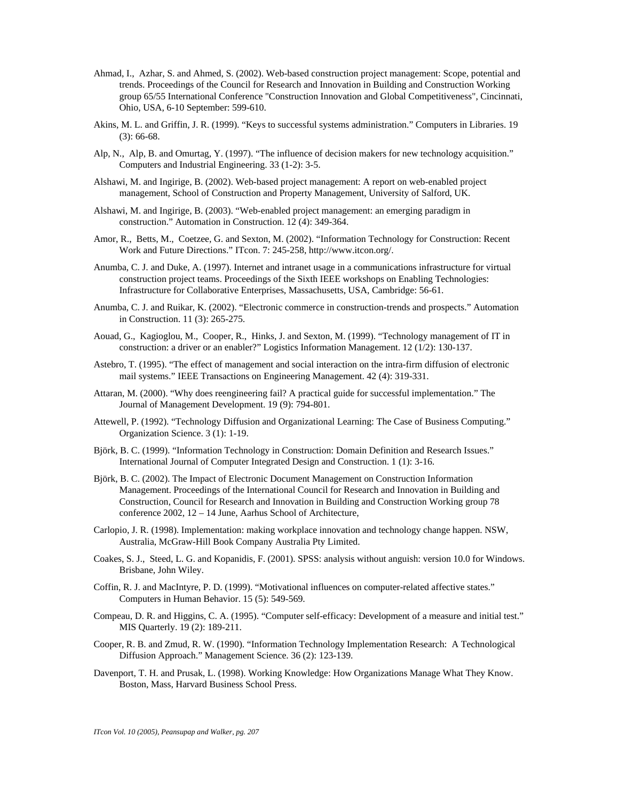- Ahmad, I., Azhar, S. and Ahmed, S. (2002). Web-based construction project management: Scope, potential and trends. Proceedings of the Council for Research and Innovation in Building and Construction Working group 65/55 International Conference "Construction Innovation and Global Competitiveness", Cincinnati, Ohio, USA, 6-10 September: 599-610.
- Akins, M. L. and Griffin, J. R. (1999). "Keys to successful systems administration." Computers in Libraries. 19 (3): 66-68.
- Alp, N., Alp, B. and Omurtag, Y. (1997). "The influence of decision makers for new technology acquisition." Computers and Industrial Engineering. 33 (1-2): 3-5.
- Alshawi, M. and Ingirige, B. (2002). Web-based project management: A report on web-enabled project management, School of Construction and Property Management, University of Salford, UK.
- Alshawi, M. and Ingirige, B. (2003). "Web-enabled project management: an emerging paradigm in construction." Automation in Construction. 12 (4): 349-364.
- Amor, R., Betts, M., Coetzee, G. and Sexton, M. (2002). "Information Technology for Construction: Recent Work and Future Directions." ITcon. 7: 245-258, http://www.itcon.org/.
- Anumba, C. J. and Duke, A. (1997). Internet and intranet usage in a communications infrastructure for virtual construction project teams. Proceedings of the Sixth IEEE workshops on Enabling Technologies: Infrastructure for Collaborative Enterprises, Massachusetts, USA, Cambridge: 56-61.
- Anumba, C. J. and Ruikar, K. (2002). "Electronic commerce in construction-trends and prospects." Automation in Construction. 11 (3): 265-275.
- Aouad, G., Kagioglou, M., Cooper, R., Hinks, J. and Sexton, M. (1999). "Technology management of IT in construction: a driver or an enabler?" Logistics Information Management. 12 (1/2): 130-137.
- Astebro, T. (1995). "The effect of management and social interaction on the intra-firm diffusion of electronic mail systems." IEEE Transactions on Engineering Management. 42 (4): 319-331.
- Attaran, M. (2000). "Why does reengineering fail? A practical guide for successful implementation." The Journal of Management Development. 19 (9): 794-801.
- Attewell, P. (1992). "Technology Diffusion and Organizational Learning: The Case of Business Computing." Organization Science. 3 (1): 1-19.
- Björk, B. C. (1999). "Information Technology in Construction: Domain Definition and Research Issues." International Journal of Computer Integrated Design and Construction. 1 (1): 3-16.
- Björk, B. C. (2002). The Impact of Electronic Document Management on Construction Information Management. Proceedings of the International Council for Research and Innovation in Building and Construction, Council for Research and Innovation in Building and Construction Working group 78 conference 2002, 12 – 14 June, Aarhus School of Architecture,
- Carlopio, J. R. (1998). Implementation: making workplace innovation and technology change happen. NSW, Australia, McGraw-Hill Book Company Australia Pty Limited.
- Coakes, S. J., Steed, L. G. and Kopanidis, F. (2001). SPSS: analysis without anguish: version 10.0 for Windows. Brisbane, John Wiley.
- Coffin, R. J. and MacIntyre, P. D. (1999). "Motivational influences on computer-related affective states." Computers in Human Behavior. 15 (5): 549-569.
- Compeau, D. R. and Higgins, C. A. (1995). "Computer self-efficacy: Development of a measure and initial test." MIS Quarterly. 19 (2): 189-211.
- Cooper, R. B. and Zmud, R. W. (1990). "Information Technology Implementation Research: A Technological Diffusion Approach." Management Science. 36 (2): 123-139.
- Davenport, T. H. and Prusak, L. (1998). Working Knowledge: How Organizations Manage What They Know. Boston, Mass, Harvard Business School Press.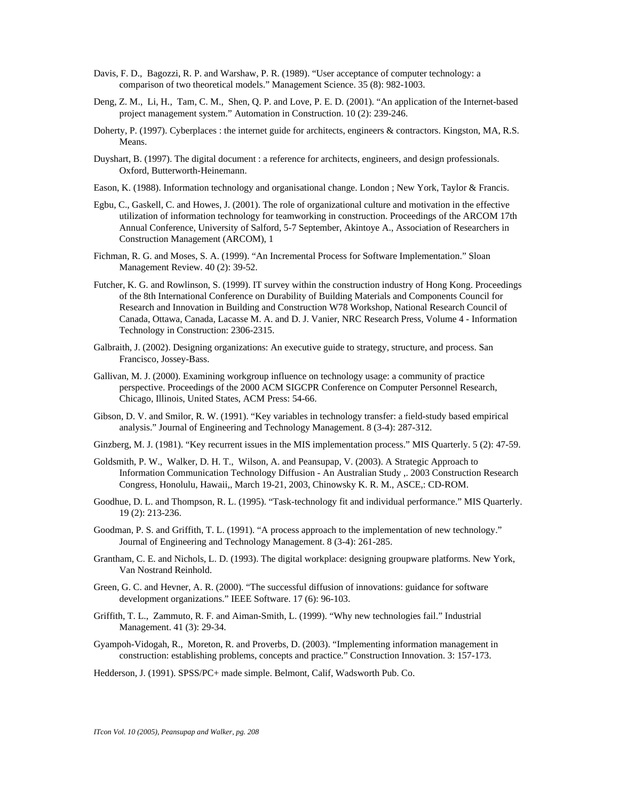- Davis, F. D., Bagozzi, R. P. and Warshaw, P. R. (1989). "User acceptance of computer technology: a comparison of two theoretical models." Management Science. 35 (8): 982-1003.
- Deng, Z. M., Li, H., Tam, C. M., Shen, Q. P. and Love, P. E. D. (2001). "An application of the Internet-based project management system." Automation in Construction. 10 (2): 239-246.
- Doherty, P. (1997). Cyberplaces : the internet guide for architects, engineers & contractors. Kingston, MA, R.S. Means.
- Duyshart, B. (1997). The digital document : a reference for architects, engineers, and design professionals. Oxford, Butterworth-Heinemann.
- Eason, K. (1988). Information technology and organisational change. London ; New York, Taylor & Francis.
- Egbu, C., Gaskell, C. and Howes, J. (2001). The role of organizational culture and motivation in the effective utilization of information technology for teamworking in construction. Proceedings of the ARCOM 17th Annual Conference, University of Salford, 5-7 September, Akintoye A., Association of Researchers in Construction Management (ARCOM), 1
- Fichman, R. G. and Moses, S. A. (1999). "An Incremental Process for Software Implementation." Sloan Management Review. 40 (2): 39-52.
- Futcher, K. G. and Rowlinson, S. (1999). IT survey within the construction industry of Hong Kong. Proceedings of the 8th International Conference on Durability of Building Materials and Components Council for Research and Innovation in Building and Construction W78 Workshop, National Research Council of Canada, Ottawa, Canada, Lacasse M. A. and D. J. Vanier, NRC Research Press, Volume 4 - Information Technology in Construction: 2306-2315.
- Galbraith, J. (2002). Designing organizations: An executive guide to strategy, structure, and process. San Francisco, Jossey-Bass.
- Gallivan, M. J. (2000). Examining workgroup influence on technology usage: a community of practice perspective. Proceedings of the 2000 ACM SIGCPR Conference on Computer Personnel Research, Chicago, Illinois, United States, ACM Press: 54-66.
- Gibson, D. V. and Smilor, R. W. (1991). "Key variables in technology transfer: a field-study based empirical analysis." Journal of Engineering and Technology Management. 8 (3-4): 287-312.
- Ginzberg, M. J. (1981). "Key recurrent issues in the MIS implementation process." MIS Quarterly. 5 (2): 47-59.
- Goldsmith, P. W., Walker, D. H. T., Wilson, A. and Peansupap, V. (2003). A Strategic Approach to Information Communication Technology Diffusion - An Australian Study ,. 2003 Construction Research Congress, Honolulu, Hawaii,, March 19-21, 2003, Chinowsky K. R. M., ASCE,: CD-ROM.
- Goodhue, D. L. and Thompson, R. L. (1995). "Task-technology fit and individual performance." MIS Quarterly. 19 (2): 213-236.
- Goodman, P. S. and Griffith, T. L. (1991). "A process approach to the implementation of new technology." Journal of Engineering and Technology Management. 8 (3-4): 261-285.
- Grantham, C. E. and Nichols, L. D. (1993). The digital workplace: designing groupware platforms. New York, Van Nostrand Reinhold.
- Green, G. C. and Hevner, A. R. (2000). "The successful diffusion of innovations: guidance for software development organizations." IEEE Software. 17 (6): 96-103.
- Griffith, T. L., Zammuto, R. F. and Aiman-Smith, L. (1999). "Why new technologies fail." Industrial Management. 41 (3): 29-34.
- Gyampoh-Vidogah, R., Moreton, R. and Proverbs, D. (2003). "Implementing information management in construction: establishing problems, concepts and practice." Construction Innovation. 3: 157-173.
- Hedderson, J. (1991). SPSS/PC+ made simple. Belmont, Calif, Wadsworth Pub. Co.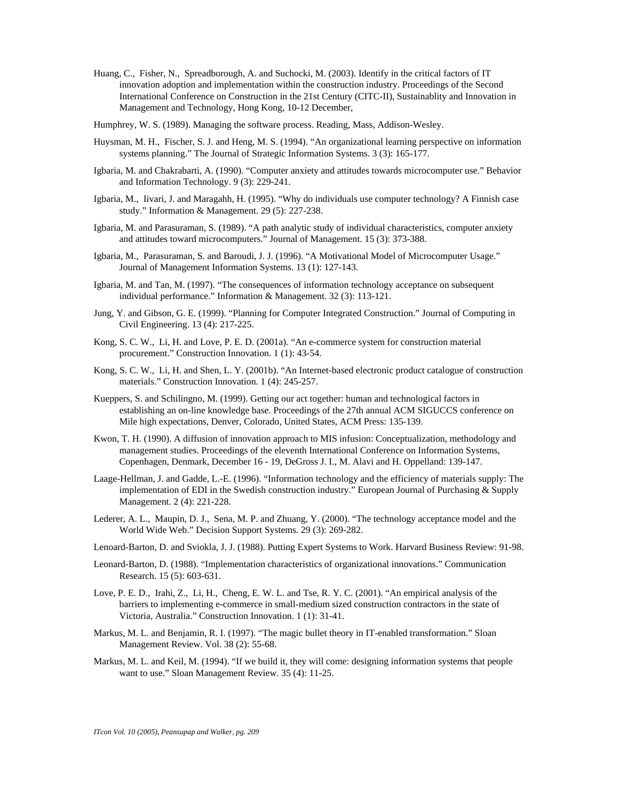- Huang, C., Fisher, N., Spreadborough, A. and Suchocki, M. (2003). Identify in the critical factors of IT innovation adoption and implementation within the construction industry. Proceedings of the Second International Conference on Construction in the 21st Century (CITC-II), Sustainablity and Innovation in Management and Technology, Hong Kong, 10-12 December,
- Humphrey, W. S. (1989). Managing the software process. Reading, Mass, Addison-Wesley.
- Huysman, M. H., Fischer, S. J. and Heng, M. S. (1994). "An organizational learning perspective on information systems planning." The Journal of Strategic Information Systems. 3 (3): 165-177.
- Igbaria, M. and Chakrabarti, A. (1990). "Computer anxiety and attitudes towards microcomputer use." Behavior and Information Technology. 9 (3): 229-241.
- Igbaria, M., Iivari, J. and Maragahh, H. (1995). "Why do individuals use computer technology? A Finnish case study." Information & Management. 29 (5): 227-238.
- Igbaria, M. and Parasuraman, S. (1989). "A path analytic study of individual characteristics, computer anxiety and attitudes toward microcomputers." Journal of Management. 15 (3): 373-388.
- Igbaria, M., Parasuraman, S. and Baroudi, J. J. (1996). "A Motivational Model of Microcomputer Usage." Journal of Management Information Systems. 13 (1): 127-143.
- Igbaria, M. and Tan, M. (1997). "The consequences of information technology acceptance on subsequent individual performance." Information & Management. 32 (3): 113-121.
- Jung, Y. and Gibson, G. E. (1999). "Planning for Computer Integrated Construction." Journal of Computing in Civil Engineering. 13 (4): 217-225.
- Kong, S. C. W., Li, H. and Love, P. E. D. (2001a). "An e-commerce system for construction material procurement." Construction Innovation. 1 (1): 43-54.
- Kong, S. C. W., Li, H. and Shen, L. Y. (2001b). "An Internet-based electronic product catalogue of construction materials." Construction Innovation. 1 (4): 245-257.
- Kueppers, S. and Schilingno, M. (1999). Getting our act together: human and technological factors in establishing an on-line knowledge base. Proceedings of the 27th annual ACM SIGUCCS conference on Mile high expectations, Denver, Colorado, United States, ACM Press: 135-139.
- Kwon, T. H. (1990). A diffusion of innovation approach to MIS infusion: Conceptualization, methodology and management studies. Proceedings of the eleventh International Conference on Information Systems, Copenhagen, Denmark, December 16 - 19, DeGross J. I., M. Alavi and H. Oppelland: 139-147.
- Laage-Hellman, J. and Gadde, L.-E. (1996). "Information technology and the efficiency of materials supply: The implementation of EDI in the Swedish construction industry." European Journal of Purchasing & Supply Management. 2 (4): 221-228.
- Lederer, A. L., Maupin, D. J., Sena, M. P. and Zhuang, Y. (2000). "The technology acceptance model and the World Wide Web." Decision Support Systems. 29 (3): 269-282.
- Lenoard-Barton, D. and Sviokla, J. J. (1988). Putting Expert Systems to Work. Harvard Business Review: 91-98.
- Leonard-Barton, D. (1988). "Implementation characteristics of organizational innovations." Communication Research. 15 (5): 603-631.
- Love, P. E. D., Irahi, Z., Li, H., Cheng, E. W. L. and Tse, R. Y. C. (2001). "An empirical analysis of the barriers to implementing e-commerce in small-medium sized construction contractors in the state of Victoria, Australia." Construction Innovation. 1 (1): 31-41.
- Markus, M. L. and Benjamin, R. I. (1997). "The magic bullet theory in IT-enabled transformation." Sloan Management Review. Vol. 38 (2): 55-68.
- Markus, M. L. and Keil, M. (1994). "If we build it, they will come: designing information systems that people want to use." Sloan Management Review. 35 (4): 11-25.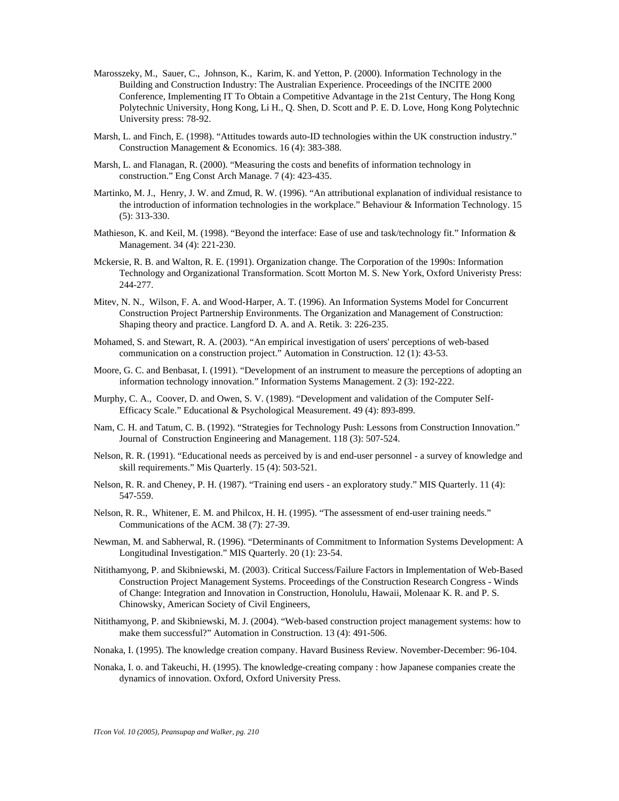- Marosszeky, M., Sauer, C., Johnson, K., Karim, K. and Yetton, P. (2000). Information Technology in the Building and Construction Industry: The Australian Experience. Proceedings of the INCITE 2000 Conference, Implementing IT To Obtain a Competitive Advantage in the 21st Century, The Hong Kong Polytechnic University, Hong Kong, Li H., Q. Shen, D. Scott and P. E. D. Love, Hong Kong Polytechnic University press: 78-92.
- Marsh, L. and Finch, E. (1998). "Attitudes towards auto-ID technologies within the UK construction industry." Construction Management & Economics. 16 (4): 383-388.
- Marsh, L. and Flanagan, R. (2000). "Measuring the costs and benefits of information technology in construction." Eng Const Arch Manage. 7 (4): 423-435.
- Martinko, M. J., Henry, J. W. and Zmud, R. W. (1996). "An attributional explanation of individual resistance to the introduction of information technologies in the workplace." Behaviour & Information Technology. 15 (5): 313-330.
- Mathieson, K. and Keil, M. (1998). "Beyond the interface: Ease of use and task/technology fit." Information & Management. 34 (4): 221-230.
- Mckersie, R. B. and Walton, R. E. (1991). Organization change. The Corporation of the 1990s: Information Technology and Organizational Transformation. Scott Morton M. S. New York, Oxford Univeristy Press: 244-277.
- Mitev, N. N., Wilson, F. A. and Wood-Harper, A. T. (1996). An Information Systems Model for Concurrent Construction Project Partnership Environments. The Organization and Management of Construction: Shaping theory and practice. Langford D. A. and A. Retik. 3: 226-235.
- Mohamed, S. and Stewart, R. A. (2003). "An empirical investigation of users' perceptions of web-based communication on a construction project." Automation in Construction. 12 (1): 43-53.
- Moore, G. C. and Benbasat, I. (1991). "Development of an instrument to measure the perceptions of adopting an information technology innovation." Information Systems Management. 2 (3): 192-222.
- Murphy, C. A., Coover, D. and Owen, S. V. (1989). "Development and validation of the Computer Self-Efficacy Scale." Educational & Psychological Measurement. 49 (4): 893-899.
- Nam, C. H. and Tatum, C. B. (1992). "Strategies for Technology Push: Lessons from Construction Innovation." Journal of Construction Engineering and Management. 118 (3): 507-524.
- Nelson, R. R. (1991). "Educational needs as perceived by is and end-user personnel a survey of knowledge and skill requirements." Mis Quarterly. 15 (4): 503-521.
- Nelson, R. R. and Cheney, P. H. (1987). "Training end users an exploratory study." MIS Quarterly. 11 (4): 547-559.
- Nelson, R. R., Whitener, E. M. and Philcox, H. H. (1995). "The assessment of end-user training needs." Communications of the ACM. 38 (7): 27-39.
- Newman, M. and Sabherwal, R. (1996). "Determinants of Commitment to Information Systems Development: A Longitudinal Investigation." MIS Quarterly. 20 (1): 23-54.
- Nitithamyong, P. and Skibniewski, M. (2003). Critical Success/Failure Factors in Implementation of Web-Based Construction Project Management Systems. Proceedings of the Construction Research Congress - Winds of Change: Integration and Innovation in Construction, Honolulu, Hawaii, Molenaar K. R. and P. S. Chinowsky, American Society of Civil Engineers,
- Nitithamyong, P. and Skibniewski, M. J. (2004). "Web-based construction project management systems: how to make them successful?" Automation in Construction. 13 (4): 491-506.
- Nonaka, I. (1995). The knowledge creation company. Havard Business Review. November-December: 96-104.
- Nonaka, I. o. and Takeuchi, H. (1995). The knowledge-creating company : how Japanese companies create the dynamics of innovation. Oxford, Oxford University Press.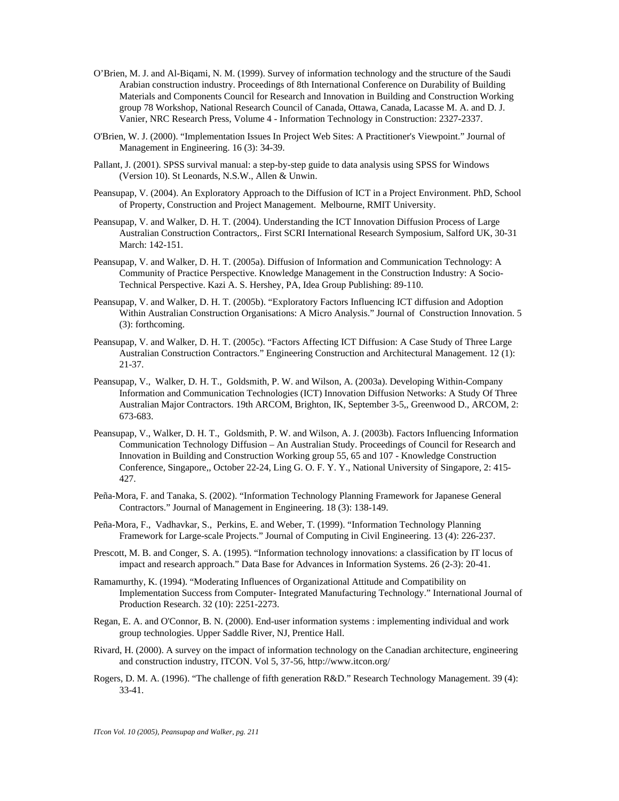- O'Brien, M. J. and Al-Biqami, N. M. (1999). Survey of information technology and the structure of the Saudi Arabian construction industry. Proceedings of 8th International Conference on Durability of Building Materials and Components Council for Research and Innovation in Building and Construction Working group 78 Workshop, National Research Council of Canada, Ottawa, Canada, Lacasse M. A. and D. J. Vanier, NRC Research Press, Volume 4 - Information Technology in Construction: 2327-2337.
- O'Brien, W. J. (2000). "Implementation Issues In Project Web Sites: A Practitioner's Viewpoint." Journal of Management in Engineering. 16 (3): 34-39.
- Pallant, J. (2001). SPSS survival manual: a step-by-step guide to data analysis using SPSS for Windows (Version 10). St Leonards, N.S.W., Allen & Unwin.
- Peansupap, V. (2004). An Exploratory Approach to the Diffusion of ICT in a Project Environment. PhD, School of Property, Construction and Project Management. Melbourne, RMIT University.
- Peansupap, V. and Walker, D. H. T. (2004). Understanding the ICT Innovation Diffusion Process of Large Australian Construction Contractors,. First SCRI International Research Symposium, Salford UK, 30-31 March: 142-151.
- Peansupap, V. and Walker, D. H. T. (2005a). Diffusion of Information and Communication Technology: A Community of Practice Perspective. Knowledge Management in the Construction Industry: A Socio-Technical Perspective. Kazi A. S. Hershey, PA, Idea Group Publishing: 89-110.
- Peansupap, V. and Walker, D. H. T. (2005b). "Exploratory Factors Influencing ICT diffusion and Adoption Within Australian Construction Organisations: A Micro Analysis." Journal of Construction Innovation. 5 (3): forthcoming.
- Peansupap, V. and Walker, D. H. T. (2005c). "Factors Affecting ICT Diffusion: A Case Study of Three Large Australian Construction Contractors." Engineering Construction and Architectural Management. 12 (1): 21-37.
- Peansupap, V., Walker, D. H. T., Goldsmith, P. W. and Wilson, A. (2003a). Developing Within-Company Information and Communication Technologies (ICT) Innovation Diffusion Networks: A Study Of Three Australian Major Contractors. 19th ARCOM, Brighton, IK, September 3-5,, Greenwood D., ARCOM, 2: 673-683.
- Peansupap, V., Walker, D. H. T., Goldsmith, P. W. and Wilson, A. J. (2003b). Factors Influencing Information Communication Technology Diffusion – An Australian Study. Proceedings of Council for Research and Innovation in Building and Construction Working group 55, 65 and 107 - Knowledge Construction Conference, Singapore,, October 22-24, Ling G. O. F. Y. Y., National University of Singapore, 2: 415- 427.
- Peña-Mora, F. and Tanaka, S. (2002). "Information Technology Planning Framework for Japanese General Contractors." Journal of Management in Engineering. 18 (3): 138-149.
- Peña-Mora, F., Vadhavkar, S., Perkins, E. and Weber, T. (1999). "Information Technology Planning Framework for Large-scale Projects." Journal of Computing in Civil Engineering. 13 (4): 226-237.
- Prescott, M. B. and Conger, S. A. (1995). "Information technology innovations: a classification by IT locus of impact and research approach." Data Base for Advances in Information Systems. 26 (2-3): 20-41.
- Ramamurthy, K. (1994). "Moderating Influences of Organizational Attitude and Compatibility on Implementation Success from Computer- Integrated Manufacturing Technology." International Journal of Production Research. 32 (10): 2251-2273.
- Regan, E. A. and O'Connor, B. N. (2000). End-user information systems : implementing individual and work group technologies. Upper Saddle River, NJ, Prentice Hall.
- Rivard, H. (2000). A survey on the impact of information technology on the Canadian architecture, engineering and construction industry, ITCON. Vol 5, 37-56, http://www.itcon.org/
- Rogers, D. M. A. (1996). "The challenge of fifth generation R&D." Research Technology Management. 39 (4): 33-41.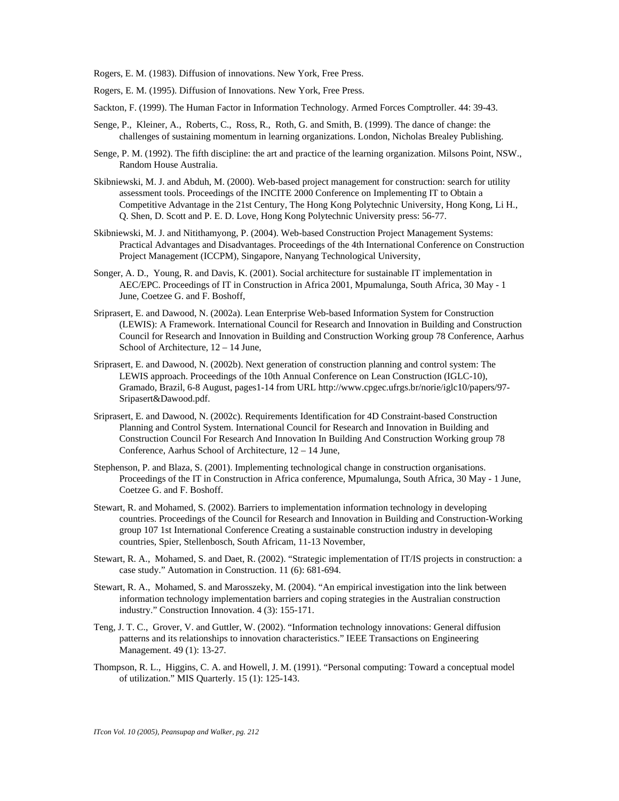Rogers, E. M. (1983). Diffusion of innovations. New York, Free Press.

- Rogers, E. M. (1995). Diffusion of Innovations. New York, Free Press.
- Sackton, F. (1999). The Human Factor in Information Technology. Armed Forces Comptroller. 44: 39-43.
- Senge, P., Kleiner, A., Roberts, C., Ross, R., Roth, G. and Smith, B. (1999). The dance of change: the challenges of sustaining momentum in learning organizations. London, Nicholas Brealey Publishing.
- Senge, P. M. (1992). The fifth discipline: the art and practice of the learning organization. Milsons Point, NSW., Random House Australia.
- Skibniewski, M. J. and Abduh, M. (2000). Web-based project management for construction: search for utility assessment tools. Proceedings of the INCITE 2000 Conference on Implementing IT to Obtain a Competitive Advantage in the 21st Century, The Hong Kong Polytechnic University, Hong Kong, Li H., Q. Shen, D. Scott and P. E. D. Love, Hong Kong Polytechnic University press: 56-77.
- Skibniewski, M. J. and Nitithamyong, P. (2004). Web-based Construction Project Management Systems: Practical Advantages and Disadvantages. Proceedings of the 4th International Conference on Construction Project Management (ICCPM), Singapore, Nanyang Technological University,
- Songer, A. D., Young, R. and Davis, K. (2001). Social architecture for sustainable IT implementation in AEC/EPC. Proceedings of IT in Construction in Africa 2001, Mpumalunga, South Africa, 30 May - 1 June, Coetzee G. and F. Boshoff,
- Sriprasert, E. and Dawood, N. (2002a). Lean Enterprise Web-based Information System for Construction (LEWIS): A Framework. International Council for Research and Innovation in Building and Construction Council for Research and Innovation in Building and Construction Working group 78 Conference, Aarhus School of Architecture,  $12 - 14$  June,
- Sriprasert, E. and Dawood, N. (2002b). Next generation of construction planning and control system: The LEWIS approach. Proceedings of the 10th Annual Conference on Lean Construction (IGLC-10), Gramado, Brazil, 6-8 August, pages1-14 from URL http://www.cpgec.ufrgs.br/norie/iglc10/papers/97- Sripasert&Dawood.pdf.
- Sriprasert, E. and Dawood, N. (2002c). Requirements Identification for 4D Constraint-based Construction Planning and Control System. International Council for Research and Innovation in Building and Construction Council For Research And Innovation In Building And Construction Working group 78 Conference, Aarhus School of Architecture, 12 – 14 June,
- Stephenson, P. and Blaza, S. (2001). Implementing technological change in construction organisations. Proceedings of the IT in Construction in Africa conference, Mpumalunga, South Africa, 30 May - 1 June, Coetzee G. and F. Boshoff.
- Stewart, R. and Mohamed, S. (2002). Barriers to implementation information technology in developing countries. Proceedings of the Council for Research and Innovation in Building and Construction-Working group 107 1st International Conference Creating a sustainable construction industry in developing countries, Spier, Stellenbosch, South Africam, 11-13 November,
- Stewart, R. A., Mohamed, S. and Daet, R. (2002). "Strategic implementation of IT/IS projects in construction: a case study." Automation in Construction. 11 (6): 681-694.
- Stewart, R. A., Mohamed, S. and Marosszeky, M. (2004). "An empirical investigation into the link between information technology implementation barriers and coping strategies in the Australian construction industry." Construction Innovation. 4 (3): 155-171.
- Teng, J. T. C., Grover, V. and Guttler, W. (2002). "Information technology innovations: General diffusion patterns and its relationships to innovation characteristics." IEEE Transactions on Engineering Management. 49 (1): 13-27.
- Thompson, R. L., Higgins, C. A. and Howell, J. M. (1991). "Personal computing: Toward a conceptual model of utilization." MIS Quarterly. 15 (1): 125-143.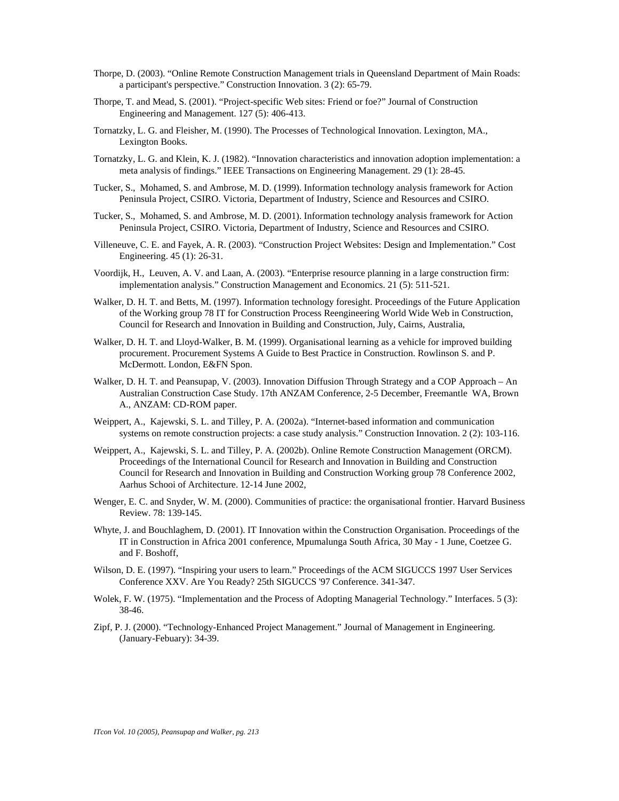- Thorpe, D. (2003). "Online Remote Construction Management trials in Queensland Department of Main Roads: a participant's perspective." Construction Innovation. 3 (2): 65-79.
- Thorpe, T. and Mead, S. (2001). "Project-specific Web sites: Friend or foe?" Journal of Construction Engineering and Management. 127 (5): 406-413.
- Tornatzky, L. G. and Fleisher, M. (1990). The Processes of Technological Innovation. Lexington, MA., Lexington Books.
- Tornatzky, L. G. and Klein, K. J. (1982). "Innovation characteristics and innovation adoption implementation: a meta analysis of findings." IEEE Transactions on Engineering Management. 29 (1): 28-45.
- Tucker, S., Mohamed, S. and Ambrose, M. D. (1999). Information technology analysis framework for Action Peninsula Project, CSIRO. Victoria, Department of Industry, Science and Resources and CSIRO.
- Tucker, S., Mohamed, S. and Ambrose, M. D. (2001). Information technology analysis framework for Action Peninsula Project, CSIRO. Victoria, Department of Industry, Science and Resources and CSIRO.
- Villeneuve, C. E. and Fayek, A. R. (2003). "Construction Project Websites: Design and Implementation." Cost Engineering. 45 (1): 26-31.
- Voordijk, H., Leuven, A. V. and Laan, A. (2003). "Enterprise resource planning in a large construction firm: implementation analysis." Construction Management and Economics. 21 (5): 511-521.
- Walker, D. H. T. and Betts, M. (1997). Information technology foresight. Proceedings of the Future Application of the Working group 78 IT for Construction Process Reengineering World Wide Web in Construction, Council for Research and Innovation in Building and Construction, July, Cairns, Australia,
- Walker, D. H. T. and Lloyd-Walker, B. M. (1999). Organisational learning as a vehicle for improved building procurement. Procurement Systems A Guide to Best Practice in Construction. Rowlinson S. and P. McDermott. London, E&FN Spon.
- Walker, D. H. T. and Peansupap, V. (2003). Innovation Diffusion Through Strategy and a COP Approach An Australian Construction Case Study. 17th ANZAM Conference, 2-5 December, Freemantle WA, Brown A., ANZAM: CD-ROM paper.
- Weippert, A., Kajewski, S. L. and Tilley, P. A. (2002a). "Internet-based information and communication systems on remote construction projects: a case study analysis." Construction Innovation. 2 (2): 103-116.
- Weippert, A., Kajewski, S. L. and Tilley, P. A. (2002b). Online Remote Construction Management (ORCM). Proceedings of the International Council for Research and Innovation in Building and Construction Council for Research and Innovation in Building and Construction Working group 78 Conference 2002, Aarhus Schooi of Architecture. 12-14 June 2002,
- Wenger, E. C. and Snyder, W. M. (2000). Communities of practice: the organisational frontier. Harvard Business Review. 78: 139-145.
- Whyte, J. and Bouchlaghem, D. (2001). IT Innovation within the Construction Organisation. Proceedings of the IT in Construction in Africa 2001 conference, Mpumalunga South Africa, 30 May - 1 June, Coetzee G. and F. Boshoff,
- Wilson, D. E. (1997). "Inspiring your users to learn." Proceedings of the ACM SIGUCCS 1997 User Services Conference XXV. Are You Ready? 25th SIGUCCS '97 Conference. 341-347.
- Wolek, F. W. (1975). "Implementation and the Process of Adopting Managerial Technology." Interfaces. 5 (3): 38-46.
- Zipf, P. J. (2000). "Technology-Enhanced Project Management." Journal of Management in Engineering. (January-Febuary): 34-39.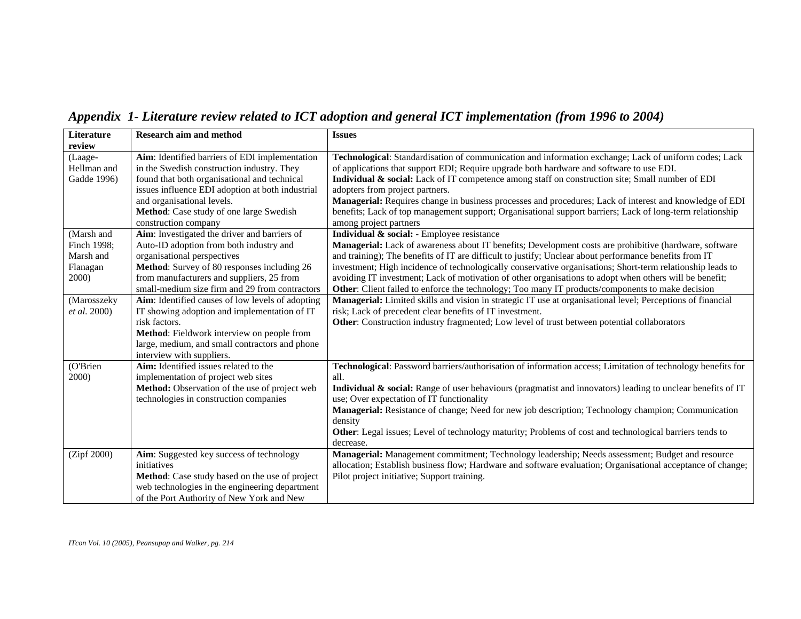| Literature   | <b>Research aim and method</b>                   | <b>Issues</b>                                                                                               |
|--------------|--------------------------------------------------|-------------------------------------------------------------------------------------------------------------|
| review       |                                                  |                                                                                                             |
| (Laage-      | Aim: Identified barriers of EDI implementation   | Technological: Standardisation of communication and information exchange; Lack of uniform codes; Lack       |
| Hellman and  | in the Swedish construction industry. They       | of applications that support EDI; Require upgrade both hardware and software to use EDI.                    |
| Gadde 1996)  | found that both organisational and technical     | Individual & social: Lack of IT competence among staff on construction site; Small number of EDI            |
|              | issues influence EDI adoption at both industrial | adopters from project partners.                                                                             |
|              | and organisational levels.                       | Managerial: Requires change in business processes and procedures; Lack of interest and knowledge of EDI     |
|              | Method: Case study of one large Swedish          | benefits; Lack of top management support; Organisational support barriers; Lack of long-term relationship   |
|              | construction company                             | among project partners                                                                                      |
| (Marsh and   | Aim: Investigated the driver and barriers of     | Individual & social: - Employee resistance                                                                  |
| Finch 1998;  | Auto-ID adoption from both industry and          | Managerial: Lack of awareness about IT benefits; Development costs are prohibitive (hardware, software      |
| Marsh and    | organisational perspectives                      | and training); The benefits of IT are difficult to justify; Unclear about performance benefits from IT      |
| Flanagan     | Method: Survey of 80 responses including 26      | investment; High incidence of technologically conservative organisations; Short-term relationship leads to  |
| 2000)        | from manufacturers and suppliers, 25 from        | avoiding IT investment; Lack of motivation of other organisations to adopt when others will be benefit;     |
|              | small-medium size firm and 29 from contractors   | Other: Client failed to enforce the technology; Too many IT products/components to make decision            |
| (Marosszeky  | Aim: Identified causes of low levels of adopting | Managerial: Limited skills and vision in strategic IT use at organisational level; Perceptions of financial |
| et al. 2000) | IT showing adoption and implementation of IT     | risk; Lack of precedent clear benefits of IT investment.                                                    |
|              | risk factors.                                    | Other: Construction industry fragmented; Low level of trust between potential collaborators                 |
|              | Method: Fieldwork interview on people from       |                                                                                                             |
|              | large, medium, and small contractors and phone   |                                                                                                             |
|              | interview with suppliers.                        |                                                                                                             |
| (O'Brien     | Aim: Identified issues related to the            | Technological: Password barriers/authorisation of information access; Limitation of technology benefits for |
| 2000)        | implementation of project web sites              | all.                                                                                                        |
|              | Method: Observation of the use of project web    | Individual & social: Range of user behaviours (pragmatist and innovators) leading to unclear benefits of IT |
|              | technologies in construction companies           | use; Over expectation of IT functionality                                                                   |
|              |                                                  | Managerial: Resistance of change; Need for new job description; Technology champion; Communication          |
|              |                                                  | density                                                                                                     |
|              |                                                  | Other: Legal issues; Level of technology maturity; Problems of cost and technological barriers tends to     |
|              |                                                  | decrease.                                                                                                   |
| (Zipf 2000)  | Aim: Suggested key success of technology         | Managerial: Management commitment; Technology leadership; Needs assessment; Budget and resource             |
|              | initiatives                                      | allocation; Establish business flow; Hardware and software evaluation; Organisational acceptance of change; |
|              | Method: Case study based on the use of project   | Pilot project initiative; Support training.                                                                 |
|              | web technologies in the engineering department   |                                                                                                             |
|              | of the Port Authority of New York and New        |                                                                                                             |

*Appendix 1- Literature review related to ICT adoption and general ICT implementation (from 1996 to 2004)*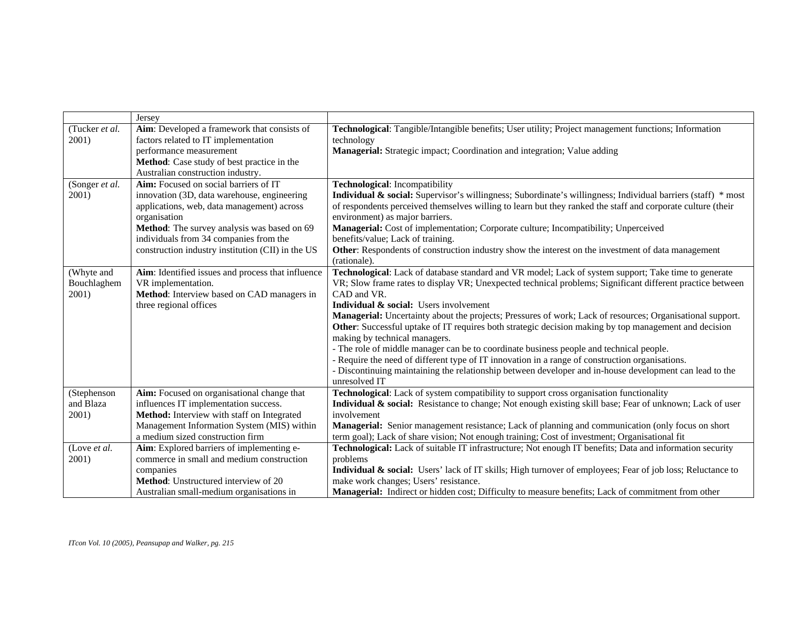|                 | Jersey                                            |                                                                                                              |
|-----------------|---------------------------------------------------|--------------------------------------------------------------------------------------------------------------|
| (Tucker et al.  | Aim: Developed a framework that consists of       | Technological: Tangible/Intangible benefits; User utility; Project management functions; Information         |
| 2001)           | factors related to IT implementation              | technology                                                                                                   |
|                 | performance measurement                           | Managerial: Strategic impact; Coordination and integration; Value adding                                     |
|                 | Method: Case study of best practice in the        |                                                                                                              |
|                 | Australian construction industry.                 |                                                                                                              |
| (Songer et al.) | Aim: Focused on social barriers of IT             | Technological: Incompatibility                                                                               |
| 2001)           | innovation (3D, data warehouse, engineering       | Individual & social: Supervisor's willingness; Subordinate's willingness; Individual barriers (staff) * most |
|                 | applications, web, data management) across        | of respondents perceived themselves willing to learn but they ranked the staff and corporate culture (their  |
|                 | organisation                                      | environment) as major barriers.                                                                              |
|                 | Method: The survey analysis was based on 69       | Managerial: Cost of implementation; Corporate culture; Incompatibility; Unperceived                          |
|                 | individuals from 34 companies from the            | benefits/value; Lack of training.                                                                            |
|                 | construction industry institution (CII) in the US | Other: Respondents of construction industry show the interest on the investment of data management           |
|                 |                                                   | (rationale).                                                                                                 |
| (Whyte and      | Aim: Identified issues and process that influence | Technological: Lack of database standard and VR model; Lack of system support; Take time to generate         |
| Bouchlaghem     | VR implementation.                                | VR; Slow frame rates to display VR; Unexpected technical problems; Significant different practice between    |
| 2001)           | Method: Interview based on CAD managers in        | CAD and VR.                                                                                                  |
|                 | three regional offices                            | Individual & social: Users involvement                                                                       |
|                 |                                                   | Managerial: Uncertainty about the projects; Pressures of work; Lack of resources; Organisational support.    |
|                 |                                                   | Other: Successful uptake of IT requires both strategic decision making by top management and decision        |
|                 |                                                   | making by technical managers.                                                                                |
|                 |                                                   | - The role of middle manager can be to coordinate business people and technical people.                      |
|                 |                                                   | - Require the need of different type of IT innovation in a range of construction organisations.              |
|                 |                                                   | - Discontinuing maintaining the relationship between developer and in-house development can lead to the      |
|                 |                                                   | unresolved IT                                                                                                |
| (Stephenson     | Aim: Focused on organisational change that        | Technological: Lack of system compatibility to support cross organisation functionality                      |
| and Blaza       | influences IT implementation success.             | Individual & social: Resistance to change; Not enough existing skill base; Fear of unknown; Lack of user     |
| 2001)           | Method: Interview with staff on Integrated        | involvement                                                                                                  |
|                 | Management Information System (MIS) within        | Managerial: Senior management resistance; Lack of planning and communication (only focus on short            |
|                 | a medium sized construction firm                  | term goal); Lack of share vision; Not enough training; Cost of investment; Organisational fit                |
| (Love et al.    | Aim: Explored barriers of implementing e-         | Technological: Lack of suitable IT infrastructure; Not enough IT benefits; Data and information security     |
| 2001)           | commerce in small and medium construction         | problems                                                                                                     |
|                 | companies                                         | Individual & social: Users' lack of IT skills; High turnover of employees; Fear of job loss; Reluctance to   |
|                 | <b>Method:</b> Unstructured interview of 20       | make work changes; Users' resistance.                                                                        |
|                 | Australian small-medium organisations in          | Managerial: Indirect or hidden cost; Difficulty to measure benefits; Lack of commitment from other           |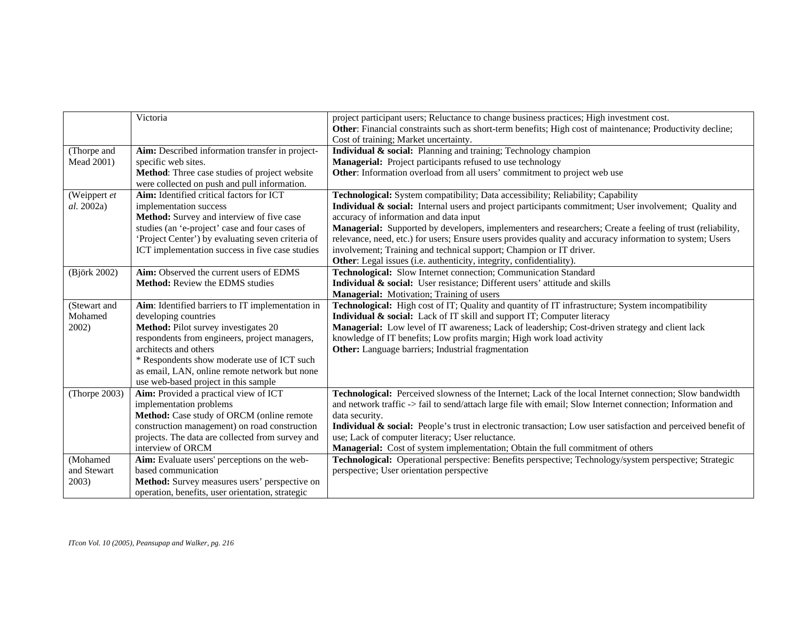|               | Victoria                                          | project participant users; Reluctance to change business practices; High investment cost.                     |
|---------------|---------------------------------------------------|---------------------------------------------------------------------------------------------------------------|
|               |                                                   | Other: Financial constraints such as short-term benefits; High cost of maintenance; Productivity decline;     |
|               |                                                   | Cost of training; Market uncertainty.                                                                         |
| (Thorpe and   | Aim: Described information transfer in project-   | Individual & social: Planning and training; Technology champion                                               |
| Mead 2001)    | specific web sites.                               | Managerial: Project participants refused to use technology                                                    |
|               | Method: Three case studies of project website     | Other: Information overload from all users' commitment to project web use                                     |
|               | were collected on push and pull information.      |                                                                                                               |
| (Weippert et  | Aim: Identified critical factors for ICT          | Technological: System compatibility; Data accessibility; Reliability; Capability                              |
| al. 2002a)    | implementation success                            | Individual & social: Internal users and project participants commitment; User involvement; Quality and        |
|               | Method: Survey and interview of five case         | accuracy of information and data input                                                                        |
|               | studies (an 'e-project' case and four cases of    | Managerial: Supported by developers, implementers and researchers; Create a feeling of trust (reliability,    |
|               | 'Project Center') by evaluating seven criteria of | relevance, need, etc.) for users; Ensure users provides quality and accuracy information to system; Users     |
|               | ICT implementation success in five case studies   | involvement; Training and technical support; Champion or IT driver.                                           |
|               |                                                   | Other: Legal issues (i.e. authenticity, integrity, confidentiality).                                          |
| (Björk 2002)  | Aim: Observed the current users of EDMS           | Technological: Slow Internet connection; Communication Standard                                               |
|               | <b>Method:</b> Review the EDMS studies            | Individual & social: User resistance; Different users' attitude and skills                                    |
|               |                                                   | Managerial: Motivation; Training of users                                                                     |
| (Stewart and  | Aim: Identified barriers to IT implementation in  | Technological: High cost of IT; Quality and quantity of IT infrastructure; System incompatibility             |
| Mohamed       | developing countries                              | Individual & social: Lack of IT skill and support IT; Computer literacy                                       |
| 2002)         | Method: Pilot survey investigates 20              | Managerial: Low level of IT awareness; Lack of leadership; Cost-driven strategy and client lack               |
|               | respondents from engineers, project managers,     | knowledge of IT benefits; Low profits margin; High work load activity                                         |
|               | architects and others                             | Other: Language barriers; Industrial fragmentation                                                            |
|               | * Respondents show moderate use of ICT such       |                                                                                                               |
|               | as email, LAN, online remote network but none     |                                                                                                               |
|               | use web-based project in this sample              |                                                                                                               |
| (Thorpe 2003) | Aim: Provided a practical view of ICT             | Technological: Perceived slowness of the Internet; Lack of the local Internet connection; Slow bandwidth      |
|               | implementation problems                           | and network traffic -> fail to send/attach large file with email; Slow Internet connection; Information and   |
|               | Method: Case study of ORCM (online remote         | data security.                                                                                                |
|               | construction management) on road construction     | Individual & social: People's trust in electronic transaction; Low user satisfaction and perceived benefit of |
|               | projects. The data are collected from survey and  | use; Lack of computer literacy; User reluctance.                                                              |
|               | interview of ORCM                                 | Managerial: Cost of system implementation; Obtain the full commitment of others                               |
| (Mohamed      | Aim: Evaluate users' perceptions on the web-      | Technological: Operational perspective: Benefits perspective; Technology/system perspective; Strategic        |
| and Stewart   | based communication                               | perspective; User orientation perspective                                                                     |
| 2003)         | Method: Survey measures users' perspective on     |                                                                                                               |
|               | operation, benefits, user orientation, strategic  |                                                                                                               |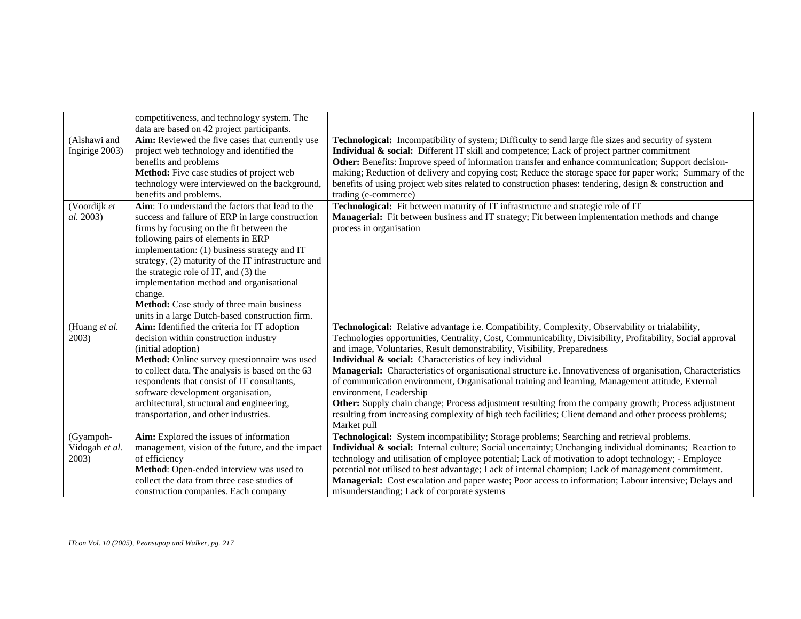|                | competitiveness, and technology system. The         |                                                                                                              |
|----------------|-----------------------------------------------------|--------------------------------------------------------------------------------------------------------------|
|                | data are based on 42 project participants.          |                                                                                                              |
| (Alshawi and   | Aim: Reviewed the five cases that currently use     | Technological: Incompatibility of system; Difficulty to send large file sizes and security of system         |
| Ingirige 2003) | project web technology and identified the           | <b>Individual &amp; social:</b> Different IT skill and competence; Lack of project partner commitment        |
|                | benefits and problems                               | Other: Benefits: Improve speed of information transfer and enhance communication; Support decision-          |
|                | Method: Five case studies of project web            | making; Reduction of delivery and copying cost; Reduce the storage space for paper work; Summary of the      |
|                | technology were interviewed on the background,      | benefits of using project web sites related to construction phases: tendering, design & construction and     |
|                | benefits and problems.                              | trading (e-commerce)                                                                                         |
| (Voordijk et   | Aim: To understand the factors that lead to the     | Technological: Fit between maturity of IT infrastructure and strategic role of IT                            |
| al. 2003)      | success and failure of ERP in large construction    | Managerial: Fit between business and IT strategy; Fit between implementation methods and change              |
|                | firms by focusing on the fit between the            | process in organisation                                                                                      |
|                | following pairs of elements in ERP                  |                                                                                                              |
|                | implementation: (1) business strategy and IT        |                                                                                                              |
|                | strategy, (2) maturity of the IT infrastructure and |                                                                                                              |
|                | the strategic role of IT, and (3) the               |                                                                                                              |
|                | implementation method and organisational            |                                                                                                              |
|                | change.                                             |                                                                                                              |
|                | Method: Case study of three main business           |                                                                                                              |
|                | units in a large Dutch-based construction firm.     |                                                                                                              |
| (Huang et al.  | Aim: Identified the criteria for IT adoption        | Technological: Relative advantage i.e. Compatibility, Complexity, Observability or trialability,             |
| 2003)          | decision within construction industry               | Technologies opportunities, Centrality, Cost, Communicability, Divisibility, Profitability, Social approval  |
|                | (initial adoption)                                  | and image, Voluntaries, Result demonstrability, Visibility, Preparedness                                     |
|                | Method: Online survey questionnaire was used        | Individual & social: Characteristics of key individual                                                       |
|                | to collect data. The analysis is based on the 63    | Managerial: Characteristics of organisational structure i.e. Innovativeness of organisation, Characteristics |
|                | respondents that consist of IT consultants,         | of communication environment, Organisational training and learning, Management attitude, External            |
|                | software development organisation,                  | environment, Leadership                                                                                      |
|                | architectural, structural and engineering,          | Other: Supply chain change; Process adjustment resulting from the company growth; Process adjustment         |
|                | transportation, and other industries.               | resulting from increasing complexity of high tech facilities; Client demand and other process problems;      |
|                |                                                     | Market pull                                                                                                  |
| (Gyampoh-      | Aim: Explored the issues of information             | Technological: System incompatibility; Storage problems; Searching and retrieval problems.                   |
| Vidogah et al. | management, vision of the future, and the impact    | Individual & social: Internal culture; Social uncertainty; Unchanging individual dominants; Reaction to      |
| 2003)          | of efficiency                                       | technology and utilisation of employee potential; Lack of motivation to adopt technology; - Employee         |
|                | Method: Open-ended interview was used to            | potential not utilised to best advantage; Lack of internal champion; Lack of management commitment.          |
|                | collect the data from three case studies of         | Managerial: Cost escalation and paper waste; Poor access to information; Labour intensive; Delays and        |
|                | construction companies. Each company                | misunderstanding; Lack of corporate systems                                                                  |